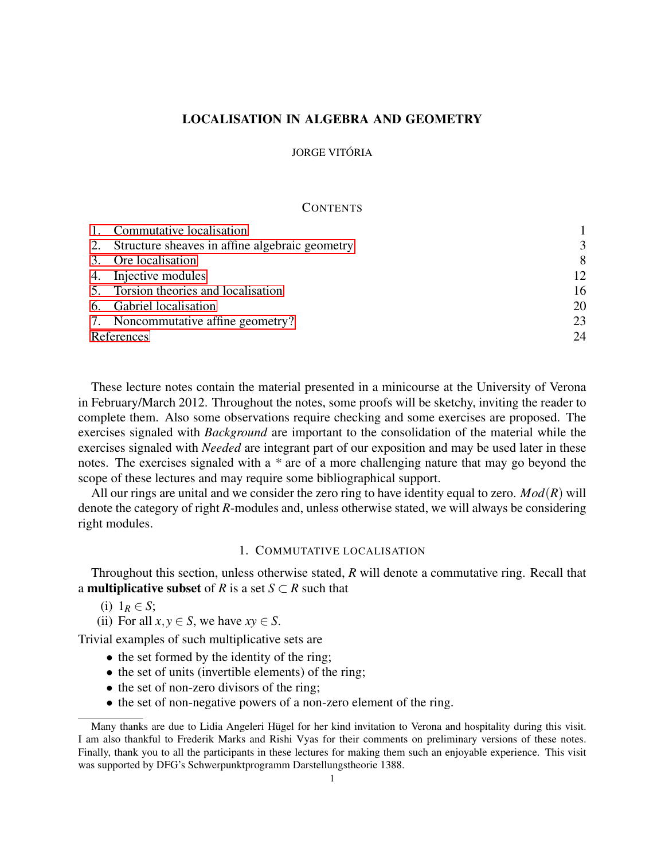# LOCALISATION IN ALGEBRA AND GEOMETRY

### JORGE VITÓRIA

#### **CONTENTS**

|            | 1. Commutative localisation                       |    |
|------------|---------------------------------------------------|----|
|            | 2. Structure sheaves in affine algebraic geometry | 3  |
|            | 3. Ore localisation                               | 8  |
|            | 4. Injective modules                              | 12 |
|            | 5. Torsion theories and localisation              | 16 |
|            | 6. Gabriel localisation                           | 20 |
|            | 7. Noncommutative affine geometry?                | 23 |
| References |                                                   | 24 |

These lecture notes contain the material presented in a minicourse at the University of Verona in February/March 2012. Throughout the notes, some proofs will be sketchy, inviting the reader to complete them. Also some observations require checking and some exercises are proposed. The exercises signaled with *Background* are important to the consolidation of the material while the exercises signaled with *Needed* are integrant part of our exposition and may be used later in these notes. The exercises signaled with a *\** are of a more challenging nature that may go beyond the scope of these lectures and may require some bibliographical support.

All our rings are unital and we consider the zero ring to have identity equal to zero. *Mod*(*R*) will denote the category of right *R*-modules and, unless otherwise stated, we will always be considering right modules.

#### 1. COMMUTATIVE LOCALISATION

<span id="page-0-0"></span>Throughout this section, unless otherwise stated, *R* will denote a commutative ring. Recall that a **multiplicative subset** of *R* is a set  $S \subset R$  such that

(i)  $1_R \in S$ ;

(ii) For all  $x, y \in S$ , we have  $xy \in S$ .

Trivial examples of such multiplicative sets are

- the set formed by the identity of the ring;
- the set of units (invertible elements) of the ring;
- the set of non-zero divisors of the ring;
- the set of non-negative powers of a non-zero element of the ring.

Many thanks are due to Lidia Angeleri Hügel for her kind invitation to Verona and hospitality during this visit. I am also thankful to Frederik Marks and Rishi Vyas for their comments on preliminary versions of these notes. Finally, thank you to all the participants in these lectures for making them such an enjoyable experience. This visit was supported by DFG's Schwerpunktprogramm Darstellungstheorie 1388.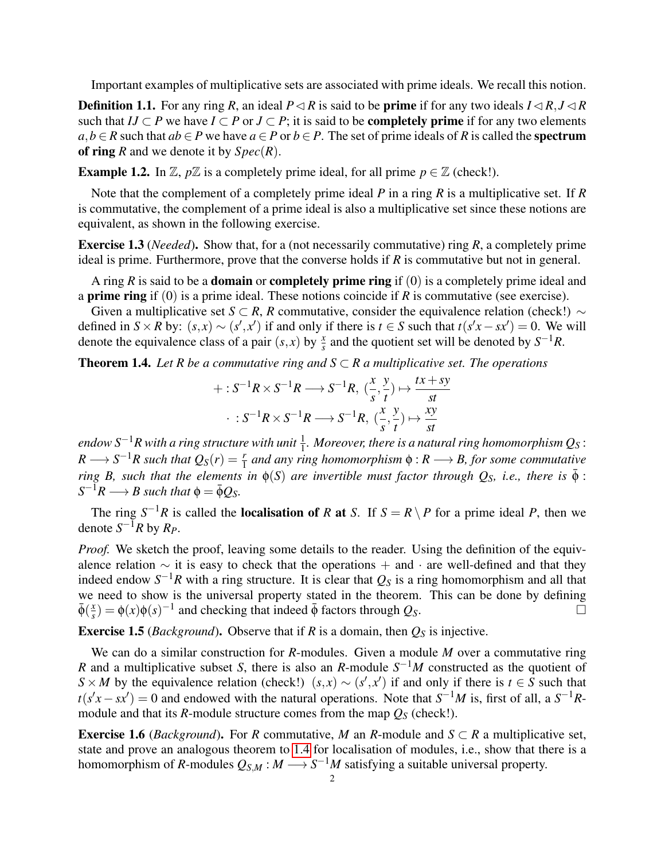Important examples of multiplicative sets are associated with prime ideals. We recall this notion.

**Definition 1.1.** For any ring *R*, an ideal  $P \lhd R$  is said to be **prime** if for any two ideals  $I \lhd R$ ,  $J \lhd R$ such that  $IJ \subset P$  we have  $I \subset P$  or  $J \subset P$ ; it is said to be **completely prime** if for any two elements *a*,*b* ∈ *R* such that *ab* ∈ *P* we have *a* ∈ *P* or *b* ∈ *P*. The set of prime ideals of *R* is called the **spectrum** of ring *R* and we denote it by *Spec*(*R*).

**Example 1.2.** In  $\mathbb{Z}$ ,  $p\mathbb{Z}$  is a completely prime ideal, for all prime  $p \in \mathbb{Z}$  (check!).

Note that the complement of a completely prime ideal *P* in a ring *R* is a multiplicative set. If *R* is commutative, the complement of a prime ideal is also a multiplicative set since these notions are equivalent, as shown in the following exercise.

Exercise 1.3 (*Needed*). Show that, for a (not necessarily commutative) ring *R*, a completely prime ideal is prime. Furthermore, prove that the converse holds if  $R$  is commutative but not in general.

A ring *R* is said to be a domain or completely prime ring if (0) is a completely prime ideal and a prime ring if (0) is a prime ideal. These notions coincide if *R* is commutative (see exercise).

Given a multiplicative set *S* ⊂ *R*, *R* commutative, consider the equivalence relation (check!)  $\sim$ defined in  $S \times R$  by:  $(s, x) \sim (s', x')$  if and only if there is  $t \in S$  such that  $t(s'x - sx') = 0$ . We will denote the equivalence class of a pair  $(s, x)$  by  $\frac{x}{s}$  and the quotient set will be denoted by  $S^{-1}R$ .

<span id="page-1-0"></span>**Theorem 1.4.** Let R be a commutative ring and  $S \subset R$  a multiplicative set. The operations

$$
+: S^{-1}R \times S^{-1}R \longrightarrow S^{-1}R, \ (\frac{x}{s}, \frac{y}{t}) \mapsto \frac{tx + sy}{st}
$$

$$
\cdot : S^{-1}R \times S^{-1}R \longrightarrow S^{-1}R, \ (\frac{x}{s}, \frac{y}{t}) \mapsto \frac{xy}{st}
$$

endow S<sup>−1</sup>R with a ring structure with unit  $\frac{1}{1}$ . Moreover, there is a natural ring homomorphism  $Q_S$  :  $R \longrightarrow S^{-1}R$  such that  $Q_S(r) = \frac{r}{1}$  and any ring homomorphism  $\phi: R \longrightarrow B$ , for some commutative *ring B, such that the elements in*  $\phi(S)$  *are invertible must factor through Q<sub>S</sub>, <i>i.e., there is*  $\bar{\phi}$ :  $S^{-1}R \longrightarrow B$  such that  $\phi = \bar{\phi}Q_S$ .

The ring  $S^{-1}R$  is called the **localisation of** *R* at *S*. If  $S = R \setminus P$  for a prime ideal *P*, then we denote  $S^{-1}R$  by  $R_P$ .

*Proof.* We sketch the proof, leaving some details to the reader. Using the definition of the equivalence relation ∼ it is easy to check that the operations + and · are well-defined and that they indeed endow  $S^{-1}R$  with a ring structure. It is clear that  $Q_S$  is a ring homomorphism and all that we need to show is the universal property stated in the theorem. This can be done by defining  $\bar{\phi}(\frac{x}{s})$  $\frac{dx}{s}$ ) =  $\phi(x)\phi(s)^{-1}$  and checking that indeed  $\bar{\phi}$  factors through *Q<sub>S</sub>*.

<span id="page-1-1"></span>**Exercise 1.5** (*Background*). Observe that if *R* is a domain, then  $Q_S$  is injective.

We can do a similar construction for *R*-modules. Given a module *M* over a commutative ring *R* and a multiplicative subset *S*, there is also an *R*-module  $S^{-1}M$  constructed as the quotient of  $S \times M$  by the equivalence relation (check!)  $(s, x) \sim (s', x')$  if and only if there is  $t \in S$  such that  $t(s'x - sx') = 0$  and endowed with the natural operations. Note that  $S^{-1}M$  is, first of all, a  $S^{-1}R$ module and that its *R*-module structure comes from the map  $Q_S$  (check!).

**Exercise 1.6** (*Background*). For *R* commutative, *M* an *R*-module and  $S \subset R$  a multiplicative set, state and prove an analogous theorem to [1.4](#page-1-0) for localisation of modules, i.e., show that there is a homomorphism of *R*-modules  $Q_{S,M}: M \longrightarrow S^{-1}M$  satisfying a suitable universal property.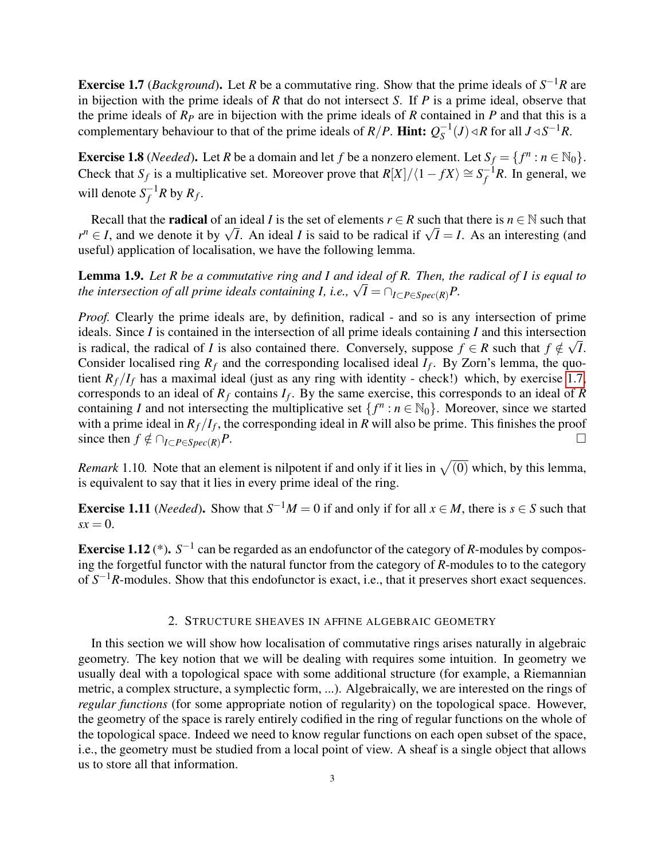<span id="page-2-1"></span>**Exercise 1.7** (*Background*). Let *R* be a commutative ring. Show that the prime ideals of  $S^{-1}R$  are in bijection with the prime ideals of *R* that do not intersect *S*. If *P* is a prime ideal, observe that the prime ideals of  $R_p$  are in bijection with the prime ideals of  $R$  contained in  $P$  and that this is a complementary behaviour to that of the prime ideals of  $R/P$ . Hint:  $Q_S^{-1}$  $S^{-1}(J)$  ⊲ *R* for all *J* ⊲  $S^{-1}R$ .

**Exercise 1.8** (*Needed*). Let *R* be a domain and let *f* be a nonzero element. Let  $S_f = \{f^n : n \in \mathbb{N}_0\}$ . Check that  $S_f$  is a multiplicative set. Moreover prove that  $R[X]/\langle 1 - fX \rangle \cong S_f^{-1}$  $f^{-1}R$ . In general, we will denote  $S_f^{-1}$  $f^{-1}R$  by  $R_f$ .

Recall that the **radical** of an ideal *I* is the set of elements  $r \in R$  such that there is  $n \in \mathbb{N}$  such that *r*<sup>n</sup> ∈ *I*, and we denote it by  $\sqrt{I}$ . An ideal *I* is said to be radical if  $\sqrt{I} = I$ . As an interesting (and  $r^n \in I$ , and we denote it by  $\sqrt{I}$ . An ideal *I* is said to be radical if  $\sqrt{I} = I$ . As an interesting ( useful) application of localisation, we have the following lemma.

<span id="page-2-3"></span>Lemma 1.9. *Let R be a commutative ring and I and ideal of R. Then, the radical of I is equal to the intersection of all prime ideals containing I, i.e.,* $\sqrt{I} = \bigcap_{I \subset P \in Spec(R)} P$ **.** 

*Proof.* Clearly the prime ideals are, by definition, radical - and so is any intersection of prime ideals. Since *I* is contained in the intersection of all prime ideals containing *I* and this intersection is radical, the radical of *I* is also contained there. Conversely, suppose  $f \in R$  such that  $f \notin \sqrt{I}$ . Consider localised ring  $R_f$  and the corresponding localised ideal  $I_f$ . By Zorn's lemma, the quotient  $R_f/I_f$  has a maximal ideal (just as any ring with identity - check!) which, by exercise [1.7,](#page-2-1) corresponds to an ideal of *R<sup>f</sup>* contains *I<sup>f</sup>* . By the same exercise, this corresponds to an ideal of *R* containing *I* and not intersecting the multiplicative set  $\{f^n : n \in \mathbb{N}_0\}$ . Moreover, since we started with a prime ideal in  $R_f/I_f$ , the corresponding ideal in *R* will also be prime. This finishes the proof since then *f*  $\notin \bigcap_{I \subset P \in \text{Spec}(R)} P$ . □

<span id="page-2-2"></span>*Remark* 1.10. Note that an element is nilpotent if and only if it lies in  $\sqrt{(0)}$  which, by this lemma, is equivalent to say that it lies in every prime ideal of the ring.

**Exercise 1.11** (*Needed*). Show that  $S^{-1}M = 0$  if and only if for all  $x \in M$ , there is  $s \in S$  such that  $sx = 0$ .

**Exercise 1.12** (\*).  $S^{-1}$  can be regarded as an endofunctor of the category of *R*-modules by composing the forgetful functor with the natural functor from the category of *R*-modules to to the category of  $S^{-1}R$ -modules. Show that this endofunctor is exact, i.e., that it preserves short exact sequences.

# 2. STRUCTURE SHEAVES IN AFFINE ALGEBRAIC GEOMETRY

<span id="page-2-0"></span>In this section we will show how localisation of commutative rings arises naturally in algebraic geometry. The key notion that we will be dealing with requires some intuition. In geometry we usually deal with a topological space with some additional structure (for example, a Riemannian metric, a complex structure, a symplectic form, ...). Algebraically, we are interested on the rings of *regular functions* (for some appropriate notion of regularity) on the topological space. However, the geometry of the space is rarely entirely codified in the ring of regular functions on the whole of the topological space. Indeed we need to know regular functions on each open subset of the space, i.e., the geometry must be studied from a local point of view. A sheaf is a single object that allows us to store all that information.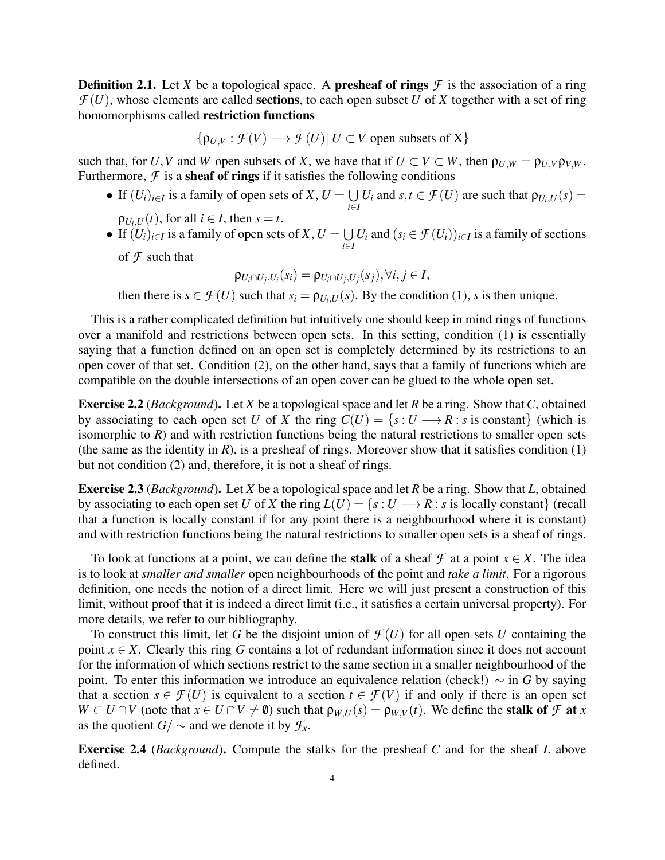**Definition 2.1.** Let *X* be a topological space. A **presheaf of rings**  $\mathcal F$  is the association of a ring  $\mathcal{F}(U)$ , whose elements are called **sections**, to each open subset *U* of *X* together with a set of ring homomorphisms called restriction functions

$$
\{\rho_{U,V}: \mathcal{F}(V) \longrightarrow \mathcal{F}(U) | U \subset V \text{ open subsets of } X\}
$$

such that, for *U*, *V* and *W* open subsets of *X*, we have that if  $U \subset V \subset W$ , then  $\rho_{U,W} = \rho_{U,V} \rho_{V,W}$ . Furthermore,  $\mathcal F$  is a **sheaf of rings** if it satisfies the following conditions

- If  $(U_i)_{i \in I}$  is a family of open sets of *X*,  $U = \bigcup$  $\bigcup_{i \in I} U_i$  and  $s, t \in \mathcal{F}(U)$  are such that  $\rho_{U_i, U}(s) =$  $\rho_{U_i, U}(t)$ , for all  $i \in I$ , then  $s = t$ .
- If  $(U_i)_{i \in I}$  is a family of open sets of *X*,  $U = \bigcup$ *i*∈*I U*<sup>*i*</sup> and  $(s_i \in \mathcal{F}(U_i))_{i \in I}$  is a family of sections

of *F* such that

$$
\rho_{U_i \cap U_j, U_i}(s_i) = \rho_{U_i \cap U_j, U_j}(s_j), \forall i, j \in I,
$$

then there is  $s \in \mathcal{F}(U)$  such that  $s_i = \rho_{U_i, U}(s)$ . By the condition (1), *s* is then unique.

This is a rather complicated definition but intuitively one should keep in mind rings of functions over a manifold and restrictions between open sets. In this setting, condition (1) is essentially saying that a function defined on an open set is completely determined by its restrictions to an open cover of that set. Condition (2), on the other hand, says that a family of functions which are compatible on the double intersections of an open cover can be glued to the whole open set.

Exercise 2.2 (*Background*). Let *X* be a topological space and let *R* be a ring. Show that*C*, obtained by associating to each open set *U* of *X* the ring  $C(U) = \{s : U \longrightarrow R : s \text{ is constant}\}\$  (which is isomorphic to  $R$ ) and with restriction functions being the natural restrictions to smaller open sets (the same as the identity in  $R$ ), is a presheaf of rings. Moreover show that it satisfies condition (1) but not condition (2) and, therefore, it is not a sheaf of rings.

Exercise 2.3 (*Background*). Let *X* be a topological space and let *R* be a ring. Show that *L*, obtained by associating to each open set *U* of *X* the ring  $L(U) = \{s : U \longrightarrow R : s \text{ is locally constant}\}\$  (recall that a function is locally constant if for any point there is a neighbourhood where it is constant) and with restriction functions being the natural restrictions to smaller open sets is a sheaf of rings.

To look at functions at a point, we can define the **stalk** of a sheaf  $\mathcal{F}$  at a point  $x \in X$ . The idea is to look at *smaller and smaller* open neighbourhoods of the point and *take a limit*. For a rigorous definition, one needs the notion of a direct limit. Here we will just present a construction of this limit, without proof that it is indeed a direct limit (i.e., it satisfies a certain universal property). For more details, we refer to our bibliography.

To construct this limit, let G be the disjoint union of  $\mathcal{F}(U)$  for all open sets U containing the point  $x \in X$ . Clearly this ring *G* contains a lot of redundant information since it does not account for the information of which sections restrict to the same section in a smaller neighbourhood of the point. To enter this information we introduce an equivalence relation (check!) ∼ in *G* by saying that a section  $s \in \mathcal{F}(U)$  is equivalent to a section  $t \in \mathcal{F}(V)$  if and only if there is an open set  $W \subset U \cap V$  (note that  $x \in U \cap V \neq \emptyset$ ) such that  $\rho_{W,U}(s) = \rho_{W,V}(t)$ . We define the **stalk of** *F* at *x* as the quotient *G*/  $\sim$  and we denote it by  $\mathcal{F}_x$ .

Exercise 2.4 (*Background*). Compute the stalks for the presheaf *C* and for the sheaf *L* above defined.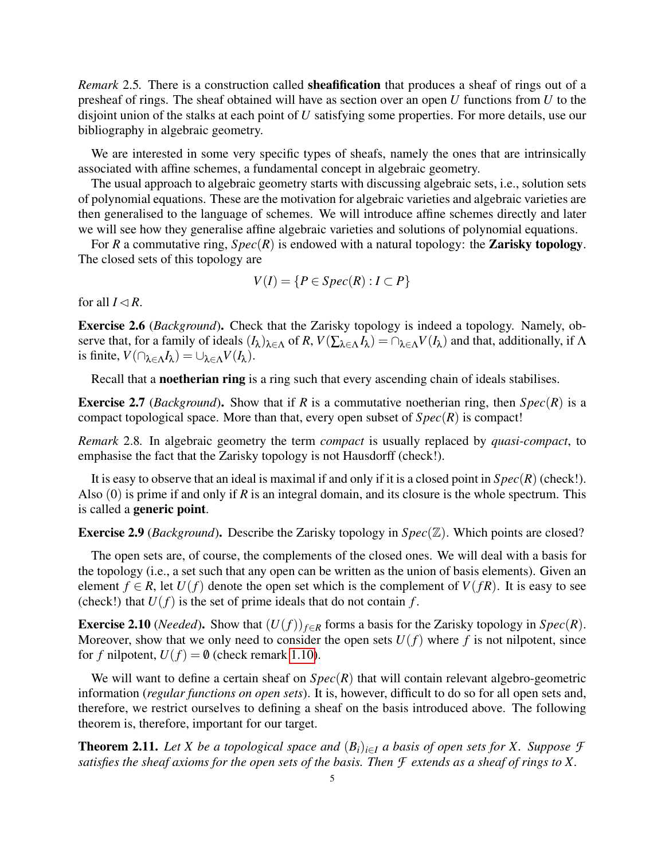<span id="page-4-0"></span>*Remark* 2.5*.* There is a construction called sheafification that produces a sheaf of rings out of a presheaf of rings. The sheaf obtained will have as section over an open *U* functions from *U* to the disjoint union of the stalks at each point of *U* satisfying some properties. For more details, use our bibliography in algebraic geometry.

We are interested in some very specific types of sheafs, namely the ones that are intrinsically associated with affine schemes, a fundamental concept in algebraic geometry.

The usual approach to algebraic geometry starts with discussing algebraic sets, i.e., solution sets of polynomial equations. These are the motivation for algebraic varieties and algebraic varieties are then generalised to the language of schemes. We will introduce affine schemes directly and later we will see how they generalise affine algebraic varieties and solutions of polynomial equations.

For *R* a commutative ring,  $Spec(R)$  is endowed with a natural topology: the **Zarisky topology**. The closed sets of this topology are

$$
V(I) = \{ P \in Spec(R) : I \subset P \}
$$

for all  $I \triangleleft R$ .

Exercise 2.6 (*Background*). Check that the Zarisky topology is indeed a topology. Namely, observe that, for a family of ideals  $(I_\lambda)_{\lambda \in \Lambda}$  of  $R$ ,  $V(\sum_{\lambda \in \Lambda} I_\lambda) = \cap_{\lambda \in \Lambda} V(I_\lambda)$  and that, additionally, if  $\Lambda$ is finite,  $V(\bigcap_{\lambda \in \Lambda} I_{\lambda}) = \bigcup_{\lambda \in \Lambda} V(I_{\lambda}).$ 

Recall that a **noetherian ring** is a ring such that every ascending chain of ideals stabilises.

**Exercise 2.7** (*Background*). Show that if *R* is a commutative noetherian ring, then  $Spec(R)$  is a compact topological space. More than that, every open subset of *Spec*(*R*) is compact!

*Remark* 2.8*.* In algebraic geometry the term *compact* is usually replaced by *quasi-compact*, to emphasise the fact that the Zarisky topology is not Hausdorff (check!).

It is easy to observe that an ideal is maximal if and only if it is a closed point in *Spec*(*R*) (check!). Also (0) is prime if and only if *R* is an integral domain, and its closure is the whole spectrum. This is called a generic point.

Exercise 2.9 (*Background*). Describe the Zarisky topology in *Spec*(Z). Which points are closed?

The open sets are, of course, the complements of the closed ones. We will deal with a basis for the topology (i.e., a set such that any open can be written as the union of basis elements). Given an element  $f \in R$ , let  $U(f)$  denote the open set which is the complement of  $V(fR)$ . It is easy to see (check!) that  $U(f)$  is the set of prime ideals that do not contain  $f$ .

Exercise 2.10 (*Needed*). Show that  $(U(f))_{f \in R}$  forms a basis for the Zarisky topology in  $Spec(R)$ . Moreover, show that we only need to consider the open sets  $U(f)$  where f is not nilpotent, since for *f* nilpotent,  $U(f) = \mathbf{0}$  (check remark [1.10\)](#page-2-2).

We will want to define a certain sheaf on  $Spec(R)$  that will contain relevant algebro-geometric information (*regular functions on open sets*). It is, however, difficult to do so for all open sets and, therefore, we restrict ourselves to defining a sheaf on the basis introduced above. The following theorem is, therefore, important for our target.

<span id="page-4-1"></span>**Theorem 2.11.** Let X be a topological space and  $(B_i)_{i \in I}$  a basis of open sets for X. Suppose  $\mathcal F$ *satisfies the sheaf axioms for the open sets of the basis. Then F extends as a sheaf of rings to X.*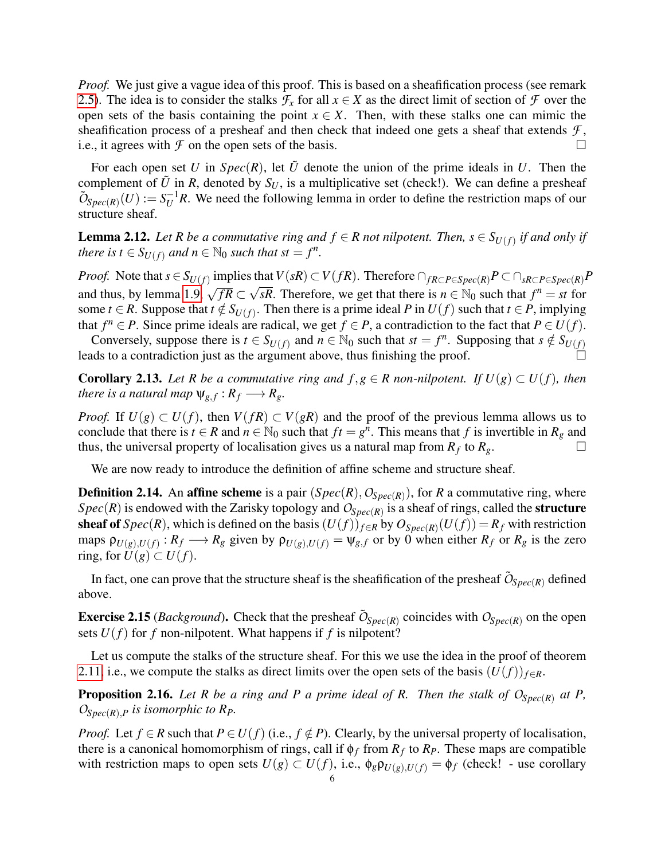*Proof.* We just give a vague idea of this proof. This is based on a sheafification process (see remark [2.5\)](#page-4-0). The idea is to consider the stalks  $\mathcal{F}_x$  for all  $x \in X$  as the direct limit of section of  $\mathcal F$  over the open sets of the basis containing the point  $x \in X$ . Then, with these stalks one can mimic the sheafification process of a presheaf and then check that indeed one gets a sheaf that extends  $\mathcal{F}$ , i.e., it agrees with  $\mathcal F$  on the open sets of the basis.

For each open set *U* in  $Spec(R)$ , let  $\tilde{U}$  denote the union of the prime ideals in *U*. Then the complement of  $\tilde{U}$  in *R*, denoted by  $S_U$ , is a multiplicative set (check!). We can define a presheaf  $\tilde{O}_{Spec(R)}(U) := S_U^{-1}R$ . We need the following lemma in order to define the restriction maps of our structure sheaf.

**Lemma 2.12.** Let R be a commutative ring and  $f \in R$  not nilpotent. Then,  $s \in S_{U(f)}$  if and only if *there is*  $t \in S_{U(f)}$  *and*  $n \in \mathbb{N}_0$  *such that*  $st = f^n$ *.* 

*Proof.* Note that  $s \in S_{U(f)}$  implies that  $V(sR) \subset V(fR)$ . Therefore  $\bigcap_{fR \subset P \in Spec(R)} P \subset \bigcap_{sR \subset P \in Spec(R)} P$ and thus, by lemma [1.9,](#page-2-3)  $\sqrt{fR} \subset \sqrt{sR}$ . Therefore, we get that there is  $n \in \mathbb{N}_0$  such that  $f^n = st$  for some *t* ∈ *R*. Suppose that  $t \notin S_{U(f)}$ . Then there is a prime ideal *P* in  $U(f)$  such that  $t \in P$ , implying that  $f^n \in P$ . Since prime ideals are radical, we get  $f \in P$ , a contradiction to the fact that  $P \in U(f)$ .

Conversely, suppose there is  $t \in S_{U(f)}$  and  $n \in \mathbb{N}_0$  such that  $st = f^n$ . Supposing that  $s \notin S_{U(f)}$ leads to a contradiction just as the argument above, thus finishing the proof.

<span id="page-5-0"></span>**Corollary 2.13.** Let R be a commutative ring and  $f, g \in R$  non-nilpotent. If  $U(g) \subset U(f)$ , then *there is a natural map*  $\psi_{g,f}: R_f \longrightarrow R_g$ .

*Proof.* If  $U(g) \subset U(f)$ , then  $V(fR) \subset V(gR)$  and the proof of the previous lemma allows us to conclude that there is  $t \in R$  and  $n \in \mathbb{N}_0$  such that  $ft = g^n$ . This means that f is invertible in  $R_g$  and thus, the universal property of localisation gives us a natural map from  $R_f$  to  $R_g$ .

We are now ready to introduce the definition of affine scheme and structure sheaf.

**Definition 2.14.** An **affine scheme** is a pair  $(Spec(R), O_{Spec(R)})$ , for *R* a commutative ring, where  $Spec(R)$  is endowed with the Zarisky topology and  $O_{Spec(R)}$  is a sheaf of rings, called the **structure** sheaf of  $Spec(R)$ , which is defined on the basis  $(U(f))_{f\in R}$  by  $O_{Spec(R)}(U(f)) = R_f$  with restriction maps  $\rho_{U(g),U(f)}: R_f \longrightarrow R_g$  given by  $\rho_{U(g),U(f)} = \psi_{g,f}$  or by 0 when either  $R_f$  or  $R_g$  is the zero ring, for  $U(g) \subset U(f)$ .

In fact, one can prove that the structure sheaf is the sheafification of the presheaf  $\tilde{O}_{Spec(R)}$  defined above.

**Exercise 2.15** (*Background*). Check that the presheaf  $\tilde{O}_{Spec(R)}$  coincides with  $O_{Spec(R)}$  on the open sets  $U(f)$  for f non-nilpotent. What happens if f is nilpotent?

Let us compute the stalks of the structure sheaf. For this we use the idea in the proof of theorem [2.11,](#page-4-1) i.e., we compute the stalks as direct limits over the open sets of the basis  $(U(f))_{f \in R}$ .

<span id="page-5-1"></span>**Proposition 2.16.** Let R be a ring and P a prime ideal of R. Then the stalk of  $O_{Spec(R)}$  at P, *OSpec*(*R*),*<sup>P</sup> is isomorphic to RP.*

*Proof.* Let  $f \in R$  such that  $P \in U(f)$  (i.e.,  $f \notin P$ ). Clearly, by the universal property of localisation, there is a canonical homomorphism of rings, call if  $\phi_f$  from  $R_f$  to  $R_f$ . These maps are compatible with restriction maps to open sets  $U(g) \subset U(f)$ , i.e.,  $\phi_g \rho_{U(g), U(f)} = \phi_f$  (check! - use corollary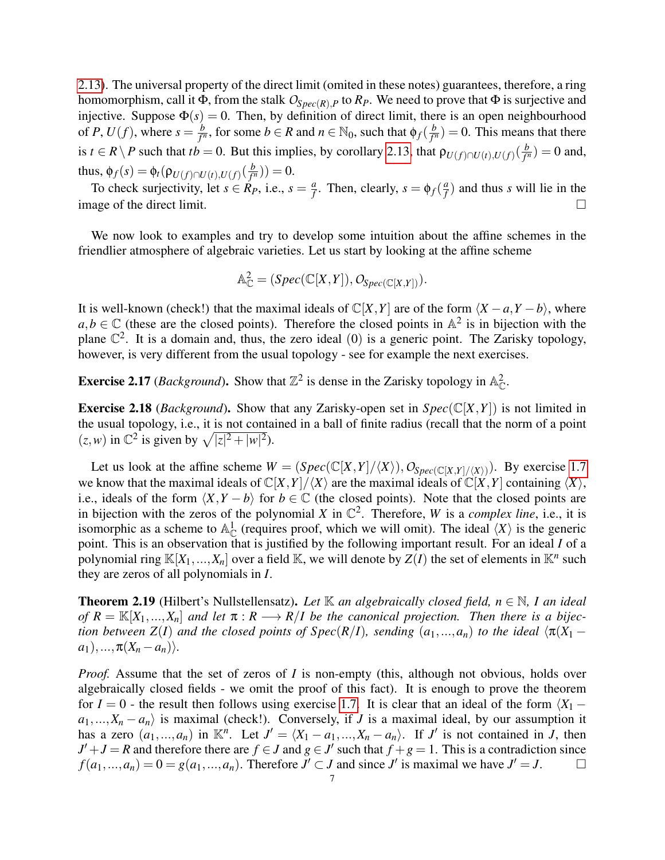[2.13\)](#page-5-0). The universal property of the direct limit (omited in these notes) guarantees, therefore, a ring homomorphism, call it  $\Phi$ , from the stalk  $O_{Spec(R),P}$  to  $R_P$ . We need to prove that  $\Phi$  is surjective and injective. Suppose  $\Phi(s) = 0$ . Then, by definition of direct limit, there is an open neighbourhood of *P*,  $U(f)$ , where  $s = \frac{b}{f}$  $\frac{b}{f^n}$ , for some  $b \in R$  and  $n \in \mathbb{N}_0$ , such that  $\phi_f(\frac{b}{f^n})$  $\frac{b}{f^n}$ ) = 0. This means that there is *t* ∈ *R* \ *P* such that *tb* = 0. But this implies, by corollary [2.13,](#page-5-0) that  $\rho_{U(f) \cap U(f)}(\frac{b}{f'}$  $\frac{b}{f^n}$ ) = 0 and, thus,  $\phi_f(s) = \phi_t(\rho_{U(f) \cap U(t), U(f)}(\frac{b}{f'})$  $(\frac{b}{f^n}) ) = 0.$ 

To check surjectivity, let  $s \in R_P$ , i.e.,  $s = \frac{a}{f}$  $\frac{a}{f}$ . Then, clearly,  $s = \phi_f(\frac{a}{f})$  $\frac{a}{f}$ ) and thus *s* will lie in the image of the direct limit.  $\Box$ 

We now look to examples and try to develop some intuition about the affine schemes in the friendlier atmosphere of algebraic varieties. Let us start by looking at the affine scheme

$$
\mathbb{A}_{\mathbb{C}}^2 = (Spec(\mathbb{C}[X,Y]), O_{Spec(\mathbb{C}[X,Y]})).
$$

It is well-known (check!) that the maximal ideals of  $\mathbb{C}[X, Y]$  are of the form  $\langle X - a, Y - b \rangle$ , where  $a, b \in \mathbb{C}$  (these are the closed points). Therefore the closed points in  $\mathbb{A}^2$  is in bijection with the plane  $\mathbb{C}^2$ . It is a domain and, thus, the zero ideal (0) is a generic point. The Zarisky topology, however, is very different from the usual topology - see for example the next exercises.

**Exercise 2.17** (*Background*). Show that  $\mathbb{Z}^2$  is dense in the Zarisky topology in  $\mathbb{A}_{\mathbb{C}}^2$ .

**Exercise 2.18** (*Background*). Show that any Zarisky-open set in  $Spec(\mathbb{C}[X, Y])$  is not limited in the usual topology, i.e., it is not contained in a ball of finite radius (recall that the norm of a point  $(z, w)$  in  $\mathbb{C}^2$  is given by  $\sqrt{|z|^2 + |w|^2}$ .

Let us look at the affine scheme  $W = (Spec(\mathbb{C}[X,Y]/\langle X\rangle), O_{Spec(\mathbb{C}[X,Y]/\langle X\rangle)})$ . By exercise [1.7](#page-2-1) we know that the maximal ideals of  $\mathbb{C}[X, Y]/\langle X \rangle$  are the maximal ideals of  $\mathbb{C}[X, Y]$  containing  $\langle X \rangle$ , i.e., ideals of the form  $\langle X, Y - b \rangle$  for  $b \in \mathbb{C}$  (the closed points). Note that the closed points are in bijection with the zeros of the polynomial *X* in  $\mathbb{C}^2$ . Therefore, *W* is a *complex line*, i.e., it is isomorphic as a scheme to  $\mathbb{A}^1_{\mathbb{C}}$  (requires proof, which we will omit). The ideal  $\langle X \rangle$  is the generic point. This is an observation that is justified by the following important result. For an ideal *I* of a polynomial ring  $\mathbb{K}[X_1,...,X_n]$  over a field  $\mathbb{K}$ , we will denote by  $\mathcal{Z}(I)$  the set of elements in  $\mathbb{K}^n$  such they are zeros of all polynomials in *I*.

**Theorem 2.19** (Hilbert's Nullstellensatz). Let  $\mathbb K$  *an algebraically closed field, n*  $\in \mathbb N$ , I *an ideal of*  $R = \mathbb{K}[X_1, ..., X_n]$  *and let*  $\pi : R \longrightarrow R/I$  *be the canonical projection. Then there is a bijection between*  $Z(I)$  *and the closed points of Spec*( $R/I$ )*, sending*  $(a_1,...,a_n)$  *to the ideal*  $\langle \pi(X_1 - \pi(Y_1)) \rangle$  $a_1),..., \pi(X_n - a_n)\rangle.$ 

*Proof.* Assume that the set of zeros of *I* is non-empty (this, although not obvious, holds over algebraically closed fields - we omit the proof of this fact). It is enough to prove the theorem for *I* = 0 - the result then follows using exercise [1.7.](#page-2-1) It is clear that an ideal of the form  $\langle X_1 - X_2 \rangle$  $a_1,...,X_n - a_n$  is maximal (check!). Conversely, if *J* is a maximal ideal, by our assumption it has a zero  $(a_1, ..., a_n)$  in  $\mathbb{K}^n$ . Let  $J' = \langle X_1 - a_1, ..., X_n - a_n \rangle$ . If *J'* is not contained in *J*, then  $J' + J = R$  and therefore there are  $f \in J$  and  $g \in J'$  such that  $f + g = 1$ . This is a contradiction since  $f(a_1,...,a_n) = 0 = g(a_1,...,a_n)$ . Therefore  $J' \subset J$  and since  $J'$  is maximal we have  $J' = J$ .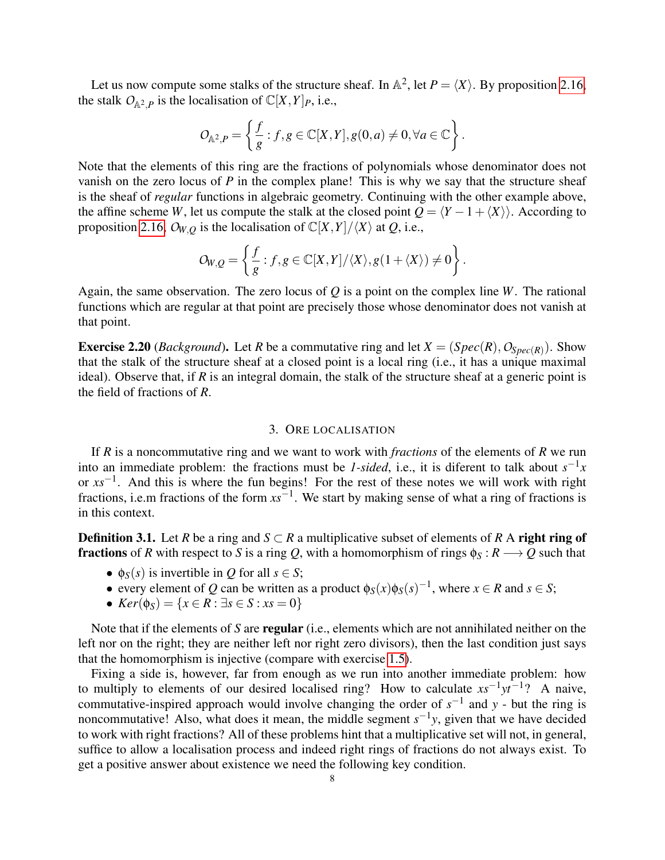Let us now compute some stalks of the structure sheaf. In  $\mathbb{A}^2$ , let  $P = \langle X \rangle$ . By proposition [2.16,](#page-5-1) the stalk  $O_{\mathbb{A}^2,P}$  is the localisation of  $\mathbb{C}[X,Y]_P$ , i.e.,

$$
O_{\mathbb{A}^2,P} = \left\{ \frac{f}{g} : f, g \in \mathbb{C}[X,Y], g(0,a) \neq 0, \forall a \in \mathbb{C} \right\}.
$$

Note that the elements of this ring are the fractions of polynomials whose denominator does not vanish on the zero locus of *P* in the complex plane! This is why we say that the structure sheaf is the sheaf of *regular* functions in algebraic geometry. Continuing with the other example above, the affine scheme *W*, let us compute the stalk at the closed point  $Q = \langle Y - 1 + \langle X \rangle \rangle$ . According to proposition [2.16,](#page-5-1)  $O_{W,Q}$  is the localisation of  $\mathbb{C}[X,Y]/\langle X \rangle$  at *Q*, i.e.,

$$
O_{W,Q} = \left\{ \frac{f}{g} : f, g \in \mathbb{C}[X,Y]/\langle X \rangle, g(1+\langle X \rangle) \neq 0 \right\}.
$$

Again, the same observation. The zero locus of *Q* is a point on the complex line *W*. The rational functions which are regular at that point are precisely those whose denominator does not vanish at that point.

**Exercise 2.20** (*Background*). Let *R* be a commutative ring and let  $X = (Spec(R), O_{Spec(R)})$ . Show that the stalk of the structure sheaf at a closed point is a local ring (i.e., it has a unique maximal ideal). Observe that, if  $R$  is an integral domain, the stalk of the structure sheaf at a generic point is the field of fractions of *R*.

## 3. ORE LOCALISATION

<span id="page-7-0"></span>If *R* is a noncommutative ring and we want to work with *fractions* of the elements of *R* we run into an immediate problem: the fractions must be *1-sided*, i.e., it is diferent to talk about  $s^{-1}x$ or *xs*−<sup>1</sup> . And this is where the fun begins! For the rest of these notes we will work with right fractions, i.e.m fractions of the form *xs*−<sup>1</sup> . We start by making sense of what a ring of fractions is in this context.

**Definition 3.1.** Let *R* be a ring and *S* ⊂ *R* a multiplicative subset of elements of *R* A right ring of **fractions** of *R* with respect to *S* is a ring *Q*, with a homomorphism of rings  $\phi_S : R \longrightarrow Q$  such that

- $\phi_S(s)$  is invertible in *Q* for all  $s \in S$ ;
- every element of *Q* can be written as a product  $\phi_S(x)\phi_S(s)^{-1}$ , where  $x \in R$  and  $s \in S$ ;
- *Ker*( $\phi_S$ ) = {*x* ∈ *R* : ∃*s* ∈ *S* : *xs* = 0}

Note that if the elements of *S* are regular (i.e., elements which are not annihilated neither on the left nor on the right; they are neither left nor right zero divisors), then the last condition just says that the homomorphism is injective (compare with exercise [1.5\)](#page-1-1).

Fixing a side is, however, far from enough as we run into another immediate problem: how to multiply to elements of our desired localised ring? How to calculate *xs*−<sup>1</sup> *yt*−<sup>1</sup> ? A naive, commutative-inspired approach would involve changing the order of  $s^{-1}$  and *y* - but the ring is noncommutative! Also, what does it mean, the middle segment  $s^{-1}y$ , given that we have decided to work with right fractions? All of these problems hint that a multiplicative set will not, in general, suffice to allow a localisation process and indeed right rings of fractions do not always exist. To get a positive answer about existence we need the following key condition.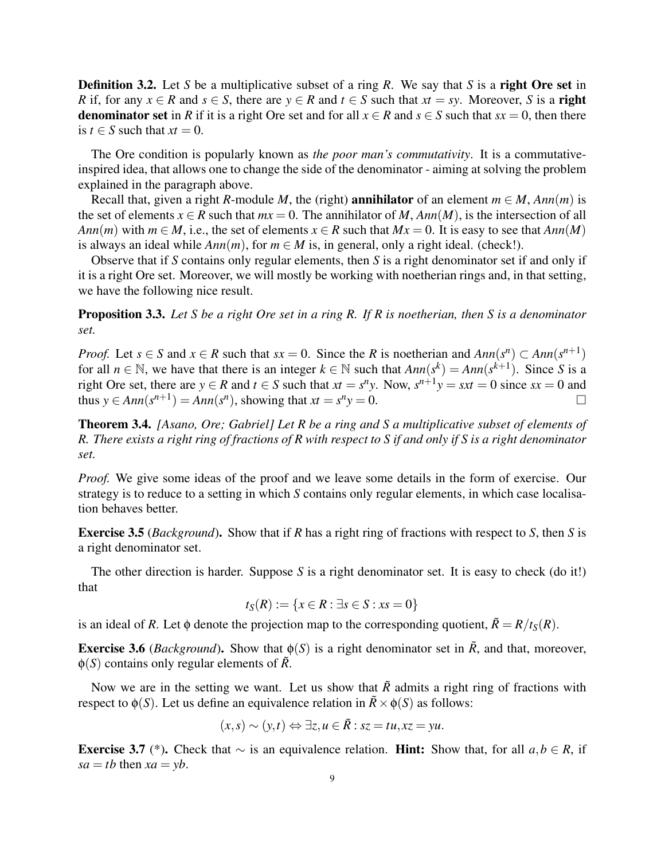Definition 3.2. Let *S* be a multiplicative subset of a ring *R*. We say that *S* is a right Ore set in *R* if, for any  $x \in R$  and  $s \in S$ , there are  $y \in R$  and  $t \in S$  such that  $xt = sy$ . Moreover, *S* is a **right denominator set** in *R* if it is a right Ore set and for all  $x \in R$  and  $s \in S$  such that  $sx = 0$ , then there is  $t \in S$  such that  $xt = 0$ .

The Ore condition is popularly known as *the poor man's commutativity*. It is a commutativeinspired idea, that allows one to change the side of the denominator - aiming at solving the problem explained in the paragraph above.

Recall that, given a right *R*-module *M*, the (right) **annihilator** of an element  $m \in M$ ,  $Ann(m)$  is the set of elements  $x \in R$  such that  $mx = 0$ . The annihilator of *M*,  $Ann(M)$ , is the intersection of all *Ann*(*m*) with  $m \in M$ , i.e., the set of elements  $x \in R$  such that  $Mx = 0$ . It is easy to see that  $Ann(M)$ is always an ideal while  $Ann(m)$ , for  $m \in M$  is, in general, only a right ideal. (check!).

Observe that if *S* contains only regular elements, then *S* is a right denominator set if and only if it is a right Ore set. Moreover, we will mostly be working with noetherian rings and, in that setting, we have the following nice result.

Proposition 3.3. *Let S be a right Ore set in a ring R. If R is noetherian, then S is a denominator set.*

*Proof.* Let  $s \in S$  and  $x \in R$  such that  $sx = 0$ . Since the *R* is noetherian and  $Ann(s^n) \subset Ann(s^{n+1})$ for all  $n \in \mathbb{N}$ , we have that there is an integer  $k \in \mathbb{N}$  such that  $Ann(s^k) = Ann(s^{k+1})$ . Since *S* is a right Ore set, there are  $y \in R$  and  $t \in S$  such that  $xt = s^n y$ . Now,  $s^{n+1}y = sxt = 0$  since  $sx = 0$  and thus  $y \in Ann(s^{n+1}) = Ann(s^n)$ , showing that  $xt = s^n y = 0$ .

<span id="page-8-0"></span>Theorem 3.4. *[Asano, Ore; Gabriel] Let R be a ring and S a multiplicative subset of elements of R. There exists a right ring of fractions of R with respect to S if and only if S is a right denominator set.*

*Proof.* We give some ideas of the proof and we leave some details in the form of exercise. Our strategy is to reduce to a setting in which *S* contains only regular elements, in which case localisation behaves better.

Exercise 3.5 (*Background*). Show that if *R* has a right ring of fractions with respect to *S*, then *S* is a right denominator set.

The other direction is harder. Suppose *S* is a right denominator set. It is easy to check (do it!) that

$$
t_S(R) := \{ x \in R : \exists s \in S : xs = 0 \}
$$

is an ideal of *R*. Let  $\phi$  denote the projection map to the corresponding quotient,  $\tilde{R} = R/t_s(R)$ .

**Exercise 3.6** (*Background*). Show that  $\phi(S)$  is a right denominator set in  $\tilde{R}$ , and that, moreover,  $\phi(S)$  contains only regular elements of  $\tilde{R}$ .

Now we are in the setting we want. Let us show that  $\tilde{R}$  admits a right ring of fractions with respect to  $\phi(S)$ . Let us define an equivalence relation in  $\tilde{R} \times \phi(S)$  as follows:

$$
(x,s) \sim (y,t) \Leftrightarrow \exists z, u \in \overline{R} : sz = tu, xz = yu.
$$

Exercise 3.7 (\*). Check that ∼ is an equivalence relation. Hint: Show that, for all *a*,*b* ∈ *R*, if  $sa = tb$  then  $xa = yb$ .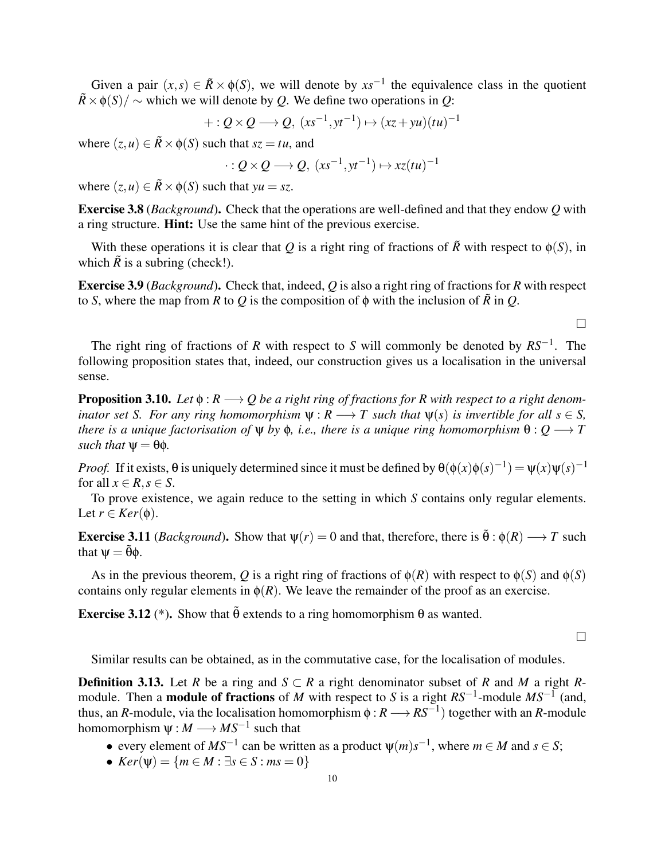Given a pair  $(x, s) \in \tilde{R} \times \phi(S)$ , we will denote by  $xs^{-1}$  the equivalence class in the quotient  $\tilde{R} \times \phi(S)/\sim$  which we will denote by *Q*. We define two operations in *Q*:

$$
+: Q \times Q \longrightarrow Q, \ (xs^{-1}, yt^{-1}) \mapsto (xz + yu)(tu)^{-1}
$$

where  $(z, u) \in \overline{R} \times \phi(S)$  such that  $sz = tu$ , and

$$
\cdot: Q \times Q \longrightarrow Q, \ (xs^{-1}, yt^{-1}) \mapsto xz(tu)^{-1}
$$

where  $(z, u) \in \tilde{R} \times \phi(S)$  such that  $yu = sz$ .

Exercise 3.8 (*Background*). Check that the operations are well-defined and that they endow *Q* with a ring structure. Hint: Use the same hint of the previous exercise.

With these operations it is clear that *Q* is a right ring of fractions of  $\tilde{R}$  with respect to  $\phi(S)$ , in which  $\tilde{R}$  is a subring (check!).

Exercise 3.9 (*Background*). Check that, indeed, *Q* is also a right ring of fractions for *R* with respect to *S*, where the map from *R* to *Q* is the composition of  $\phi$  with the inclusion of  $\tilde{R}$  in *Q*.

 $\Box$ 

The right ring of fractions of *R* with respect to *S* will commonly be denoted by *RS*−<sup>1</sup> . The following proposition states that, indeed, our construction gives us a localisation in the universal sense.

**Proposition 3.10.** *Let*  $\phi$  :  $R \rightarrow Q$  *be a right ring of fractions for R with respect to a right denominator set S. For any ring homomorphism*  $\Psi : R \longrightarrow T$  *such that*  $\Psi(s)$  *is invertible for all s*  $\in$  *S, there is a unique factorisation of*  $\Psi$  *by*  $\phi$ , *i.e., there is a unique ring homomorphism*  $\theta$  :  $Q \rightarrow T$ *such that*  $\Psi = \theta \phi$ *.* 

*Proof.* If it exists,  $\theta$  is uniquely determined since it must be defined by  $\theta(\phi(x)\phi(s)^{-1}) = \psi(x)\psi(s)^{-1}$ for all  $x \in R$ ,  $s \in S$ .

To prove existence, we again reduce to the setting in which *S* contains only regular elements. Let  $r \in \text{Ker}(\phi)$ .

**Exercise 3.11** (*Background*). Show that  $\psi(r) = 0$  and that, therefore, there is  $\tilde{\theta} : \phi(R) \longrightarrow T$  such that  $\Psi = \tilde{\theta}\phi$ .

As in the previous theorem, *Q* is a right ring of fractions of  $\phi(R)$  with respect to  $\phi(S)$  and  $\phi(S)$ contains only regular elements in  $\phi(R)$ . We leave the remainder of the proof as an exercise.

Exercise 3.12 (\*). Show that  $\tilde{\theta}$  extends to a ring homomorphism  $\theta$  as wanted.

 $\Box$ 

Similar results can be obtained, as in the commutative case, for the localisation of modules.

**Definition 3.13.** Let *R* be a ring and *S* ⊂ *R* a right denominator subset of *R* and *M* a right *R*module. Then a module of fractions of *M* with respect to *S* is a right *RS*−<sup>1</sup> -module *MS*−<sup>1</sup> (and, thus, an *R*-module, via the localisation homomorphism  $\phi : R \longrightarrow RS^{-1}$  together with an *R*-module homomorphism  $\psi : M \longrightarrow MS^{-1}$  such that

- every element of  $MS^{-1}$  can be written as a product  $\psi(m)s^{-1}$ , where  $m \in M$  and  $s \in S$ ;
- $Ker(\Psi) = \{m \in M : \exists s \in S : ms = 0\}$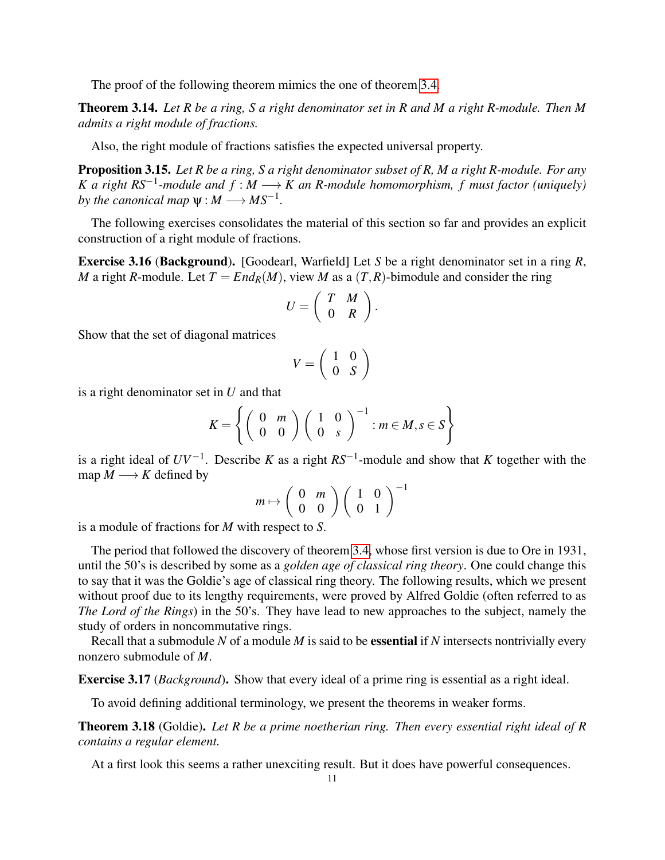The proof of the following theorem mimics the one of theorem [3.4.](#page-8-0)

<span id="page-10-0"></span>Theorem 3.14. *Let R be a ring, S a right denominator set in R and M a right R-module. Then M admits a right module of fractions.*

Also, the right module of fractions satisfies the expected universal property.

Proposition 3.15. *Let R be a ring, S a right denominator subset of R, M a right R-module. For any K* a right  $RS^{-1}$ -module and  $f : M \longrightarrow K$  an R-module homomorphism, f must factor (uniquely) by the canonical map  $\psi : M \longrightarrow MS^{-1}$ .

The following exercises consolidates the material of this section so far and provides an explicit construction of a right module of fractions.

Exercise 3.16 (Background). [Goodearl, Warfield] Let *S* be a right denominator set in a ring *R*, *M* a right *R*-module. Let  $T = End_R(M)$ , view *M* as a  $(T, R)$ -bimodule and consider the ring

$$
U=\left(\begin{array}{cc} T & M \\ 0 & R \end{array}\right).
$$

Show that the set of diagonal matrices

$$
V = \left(\begin{array}{cc} 1 & 0 \\ 0 & S \end{array}\right)
$$

is a right denominator set in *U* and that

$$
K = \left\{ \left( \begin{array}{cc} 0 & m \\ 0 & 0 \end{array} \right) \left( \begin{array}{cc} 1 & 0 \\ 0 & s \end{array} \right)^{-1} : m \in M, s \in S \right\}
$$

is a right ideal of  $UV^{-1}$ . Describe *K* as a right  $RS^{-1}$ -module and show that *K* together with the map  $M \longrightarrow K$  defined by

$$
m \mapsto \left(\begin{array}{cc} 0 & m \\ 0 & 0 \end{array}\right) \left(\begin{array}{cc} 1 & 0 \\ 0 & 1 \end{array}\right)^{-1}
$$

is a module of fractions for *M* with respect to *S*.

The period that followed the discovery of theorem [3.4,](#page-8-0) whose first version is due to Ore in 1931, until the 50's is described by some as a *golden age of classical ring theory*. One could change this to say that it was the Goldie's age of classical ring theory. The following results, which we present without proof due to its lengthy requirements, were proved by Alfred Goldie (often referred to as *The Lord of the Rings*) in the 50's. They have lead to new approaches to the subject, namely the study of orders in noncommutative rings.

Recall that a submodule *N* of a module *M* is said to be essential if *N* intersects nontrivially every nonzero submodule of *M*.

Exercise 3.17 (*Background*). Show that every ideal of a prime ring is essential as a right ideal.

To avoid defining additional terminology, we present the theorems in weaker forms.

Theorem 3.18 (Goldie). *Let R be a prime noetherian ring. Then every essential right ideal of R contains a regular element.*

At a first look this seems a rather unexciting result. But it does have powerful consequences.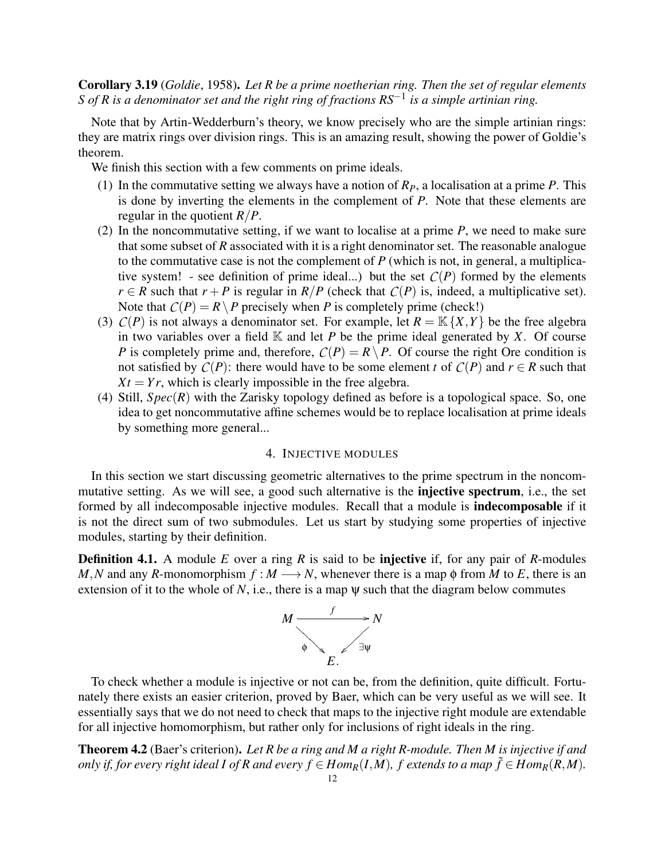Corollary 3.19 (*Goldie*, 1958). *Let R be a prime noetherian ring. Then the set of regular elements S of R is a denominator set and the right ring of fractions RS*−<sup>1</sup> *is a simple artinian ring.*

Note that by Artin-Wedderburn's theory, we know precisely who are the simple artinian rings: they are matrix rings over division rings. This is an amazing result, showing the power of Goldie's theorem.

We finish this section with a few comments on prime ideals.

- (1) In the commutative setting we always have a notion of *RP*, a localisation at a prime *P*. This is done by inverting the elements in the complement of *P*. Note that these elements are regular in the quotient *R*/*P*.
- (2) In the noncommutative setting, if we want to localise at a prime *P*, we need to make sure that some subset of *R* associated with it is a right denominator set. The reasonable analogue to the commutative case is not the complement of *P* (which is not, in general, a multiplicative system! - see definition of prime ideal...) but the set  $C(P)$  formed by the elements *r* ∈ *R* such that *r* + *P* is regular in *R*/*P* (check that *C*(*P*) is, indeed, a multiplicative set). Note that  $C(P) = R \setminus P$  precisely when *P* is completely prime (check!)
- (3)  $C(P)$  is not always a denominator set. For example, let  $R = \mathbb{K} \{X, Y\}$  be the free algebra in two variables over a field  $\mathbb K$  and let *P* be the prime ideal generated by *X*. Of course *P* is completely prime and, therefore,  $C(P) = R \backslash P$ . Of course the right Ore condition is not satisfied by  $C(P)$ : there would have to be some element *t* of  $C(P)$  and  $r \in R$  such that  $Xt = Yr$ , which is clearly impossible in the free algebra.
- (4) Still,  $Spec(R)$  with the Zarisky topology defined as before is a topological space. So, one idea to get noncommutative affine schemes would be to replace localisation at prime ideals by something more general...

# 4. INJECTIVE MODULES

<span id="page-11-0"></span>In this section we start discussing geometric alternatives to the prime spectrum in the noncommutative setting. As we will see, a good such alternative is the injective spectrum, i.e., the set formed by all indecomposable injective modules. Recall that a module is indecomposable if it is not the direct sum of two submodules. Let us start by studying some properties of injective modules, starting by their definition.

Definition 4.1. A module *E* over a ring *R* is said to be injective if, for any pair of *R*-modules *M*, *N* and any *R*-monomorphism  $f : M \longrightarrow N$ , whenever there is a map  $\phi$  from *M* to *E*, there is an extension of it to the whole of  $N$ , i.e., there is a map  $\psi$  such that the diagram below commutes



To check whether a module is injective or not can be, from the definition, quite difficult. Fortunately there exists an easier criterion, proved by Baer, which can be very useful as we will see. It essentially says that we do not need to check that maps to the injective right module are extendable for all injective homomorphism, but rather only for inclusions of right ideals in the ring.

Theorem 4.2 (Baer's criterion). *Let R be a ring and M a right R-module. Then M is injective if and only if, for every right ideal I of R and every*  $f \in Hom_R(I,M)$ *, f extends to a map*  $\tilde{f} \in Hom_R(R,M)$ .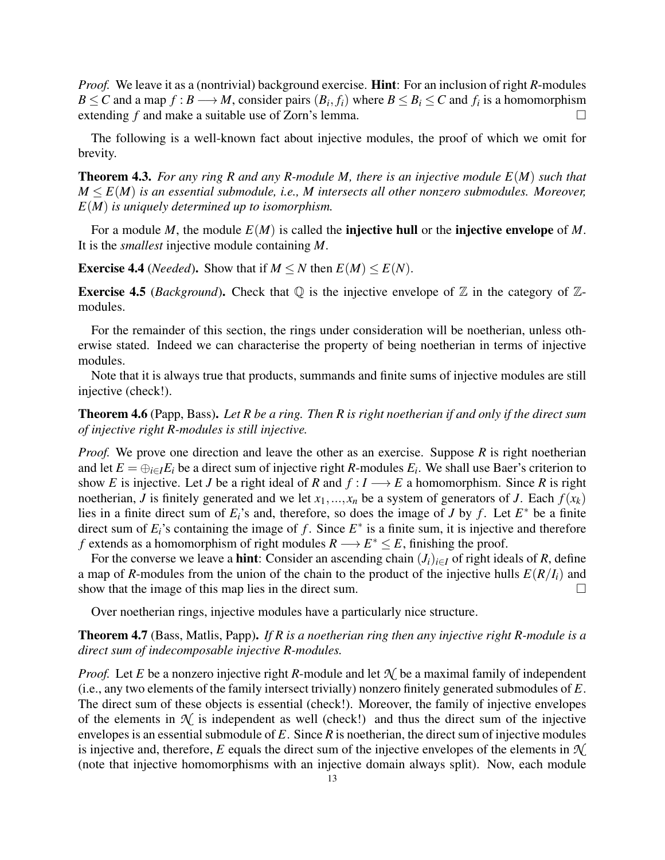*Proof.* We leave it as a (nontrivial) background exercise. Hint: For an inclusion of right *R*-modules  $B \le C$  and a map  $f : B \longrightarrow M$ , consider pairs  $(B_i, f_i)$  where  $B \le B_i \le C$  and  $f_i$  is a homomorphism extending  $f$  and make a suitable use of Zorn's lemma.

The following is a well-known fact about injective modules, the proof of which we omit for brevity.

Theorem 4.3. *For any ring R and any R-module M, there is an injective module E*(*M*) *such that*  $M \leq E(M)$  *is an essential submodule, i.e., M intersects all other nonzero submodules. Moreover, E*(*M*) *is uniquely determined up to isomorphism.*

For a module *M*, the module *E*(*M*) is called the injective hull or the injective envelope of *M*. It is the *smallest* injective module containing *M*.

**Exercise 4.4** (*Needed*). Show that if  $M \leq N$  then  $E(M) \leq E(N)$ .

**Exercise 4.5** (*Background*). Check that  $\mathbb Q$  is the injective envelope of  $\mathbb Z$  in the category of  $\mathbb Z$ modules.

For the remainder of this section, the rings under consideration will be noetherian, unless otherwise stated. Indeed we can characterise the property of being noetherian in terms of injective modules.

Note that it is always true that products, summands and finite sums of injective modules are still injective (check!).

Theorem 4.6 (Papp, Bass). *Let R be a ring. Then R is right noetherian if and only if the direct sum of injective right R-modules is still injective.*

*Proof.* We prove one direction and leave the other as an exercise. Suppose *R* is right noetherian and let  $E = \bigoplus_{i \in I} E_i$  be a direct sum of injective right *R*-modules  $E_i$ . We shall use Baer's criterion to show *E* is injective. Let *J* be a right ideal of *R* and  $f: I \rightarrow E$  a homomorphism. Since *R* is right noetherian, *J* is finitely generated and we let  $x_1, \ldots, x_n$  be a system of generators of *J*. Each  $f(x_k)$ lies in a finite direct sum of  $E_i$ 's and, therefore, so does the image of *J* by *f*. Let  $E^*$  be a finite direct sum of  $E_i$ 's containing the image of f. Since  $E^*$  is a finite sum, it is injective and therefore *f* extends as a homomorphism of right modules  $R \rightarrow E^* \leq E$ , finishing the proof.

For the converse we leave a **hint**: Consider an ascending chain  $(J_i)_{i \in I}$  of right ideals of *R*, define a map of *R*-modules from the union of the chain to the product of the injective hulls  $E(R/I_i)$  and show that the image of this map lies in the direct sum.  $\Box$ 

Over noetherian rings, injective modules have a particularly nice structure.

Theorem 4.7 (Bass, Matlis, Papp). *If R is a noetherian ring then any injective right R-module is a direct sum of indecomposable injective R-modules.*

*Proof.* Let *E* be a nonzero injective right *R*-module and let  $\mathcal{N}$  be a maximal family of independent (i.e., any two elements of the family intersect trivially) nonzero finitely generated submodules of *E*. The direct sum of these objects is essential (check!). Moreover, the family of injective envelopes of the elements in  $\mathcal N$  is independent as well (check!) and thus the direct sum of the injective envelopes is an essential submodule of *E*. Since *R* is noetherian, the direct sum of injective modules is injective and, therefore,  $E$  equals the direct sum of the injective envelopes of the elements in  $\mathcal{N}$ (note that injective homomorphisms with an injective domain always split). Now, each module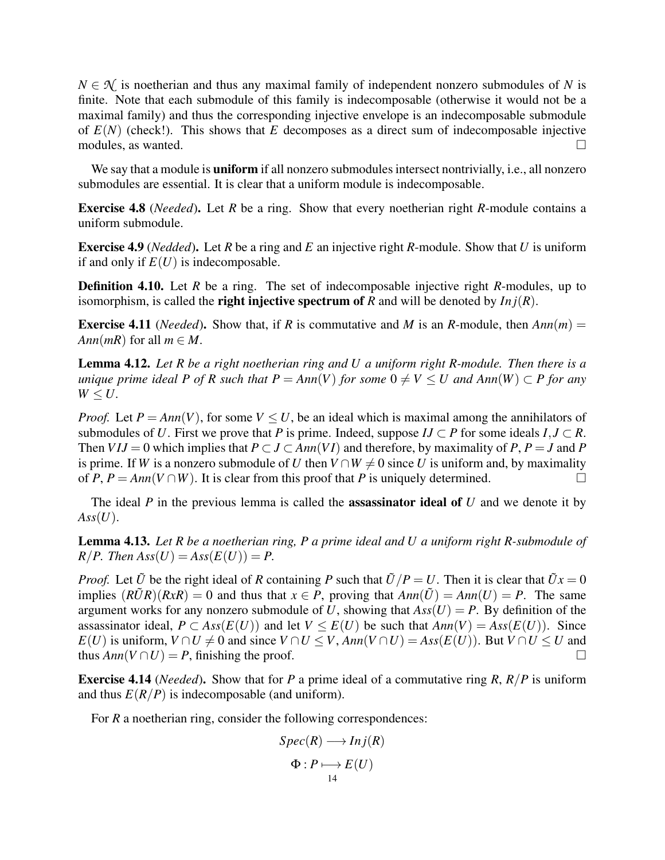$N \in \mathcal{N}$  is noetherian and thus any maximal family of independent nonzero submodules of *N* is finite. Note that each submodule of this family is indecomposable (otherwise it would not be a maximal family) and thus the corresponding injective envelope is an indecomposable submodule of  $E(N)$  (check!). This shows that  $E$  decomposes as a direct sum of indecomposable injective modules, as wanted.  $\Box$ 

We say that a module is **uniform** if all nonzero submodules intersect nontrivially, i.e., all nonzero submodules are essential. It is clear that a uniform module is indecomposable.

<span id="page-13-1"></span>Exercise 4.8 (*Needed*). Let *R* be a ring. Show that every noetherian right *R*-module contains a uniform submodule.

Exercise 4.9 (*Nedded*). Let *R* be a ring and *E* an injective right *R*-module. Show that *U* is uniform if and only if  $E(U)$  is indecomposable.

Definition 4.10. Let *R* be a ring. The set of indecomposable injective right *R*-modules, up to isomorphism, is called the **right injective spectrum of**  $R$  and will be denoted by  $Inj(R)$ .

**Exercise 4.11** (*Needed*). Show that, if *R* is commutative and *M* is an *R*-module, then  $Ann(m)$  = *Ann*( $mR$ ) for all  $m \in M$ .

Lemma 4.12. *Let R be a right noetherian ring and U a uniform right R-module. Then there is a unique prime ideal P of R such that P =*  $Ann(V)$  *for some*  $0 \neq V \leq U$  *and Ann*(*W*)  $\subset P$  *for any*  $W \leq U$ .

*Proof.* Let  $P = Ann(V)$ , for some  $V \leq U$ , be an ideal which is maximal among the annihilators of submodules of *U*. First we prove that *P* is prime. Indeed, suppose  $IJ \subset P$  for some ideals  $I, J \subset R$ . Then  $V I J = 0$  which implies that  $P \subset J \subset Ann(V I)$  and therefore, by maximality of  $P, P = J$  and  $P$ is prime. If *W* is a nonzero submodule of *U* then  $V \cap W \neq 0$  since *U* is uniform and, by maximality of *P*,  $P = Ann(V \cap W)$ . It is clear from this proof that *P* is uniquely determined.

The ideal *P* in the previous lemma is called the assassinator ideal of *U* and we denote it by  $Ass(U).$ 

<span id="page-13-0"></span>Lemma 4.13. *Let R be a noetherian ring, P a prime ideal and U a uniform right R-submodule of*  $R/P$ *. Then*  $Ass(U) = Ass(E(U)) = P$ *.* 

*Proof.* Let  $\tilde{U}$  be the right ideal of *R* containing *P* such that  $\tilde{U}/P = U$ . Then it is clear that  $\tilde{U}x = 0$ implies  $(R\tilde{U}R)(RxR) = 0$  and thus that  $x \in P$ , proving that  $Ann(\tilde{U}) = Ann(U) = P$ . The same argument works for any nonzero submodule of U, showing that  $Ass(U) = P$ . By definition of the assassinator ideal,  $P \subset Ass(E(U))$  and let  $V \leq E(U)$  be such that  $Ann(V) = Ass(E(U))$ . Since *E*(*U*) is uniform, *V* ∩ *U*  $\neq$  0 and since *V* ∩ *U*  $\lt$  *V*, *Ann*(*V* ∩ *U*) = *Ass*(*E*(*U*)). But *V* ∩ *U*  $\lt$  *U* and thus  $Ann(V \cap U) = P$ , finishing the proof.

Exercise 4.14 (*Needed*). Show that for *P* a prime ideal of a commutative ring *R*, *R*/*P* is uniform and thus  $E(R/P)$  is indecomposable (and uniform).

For *R* a noetherian ring, consider the following correspondences:

$$
Spec(R) \longrightarrow Inj(R)
$$
  
\n
$$
\Phi: P \longmapsto E(U)
$$
  
\n14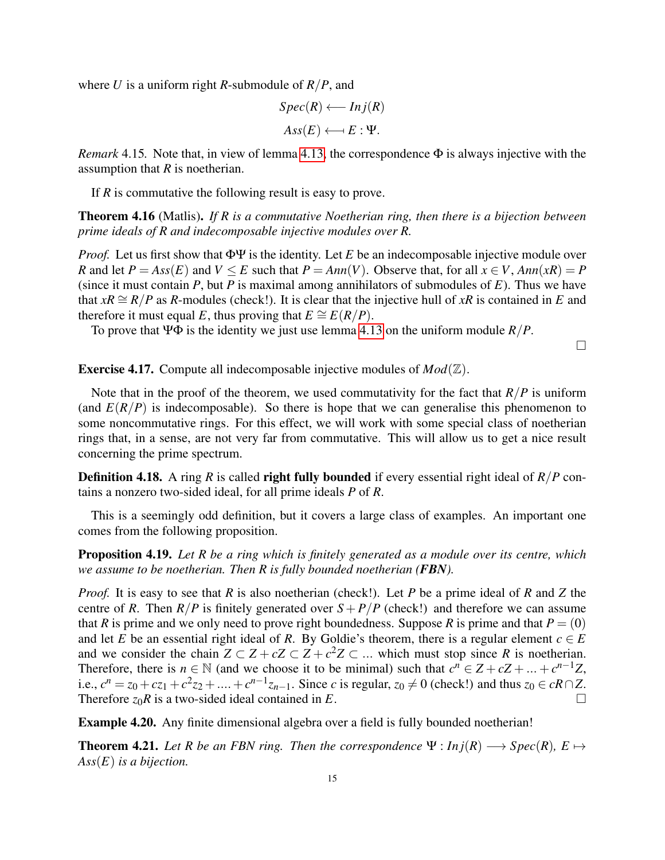where *U* is a uniform right *R*-submodule of *R*/*P*, and

$$
Spec(R) \longleftarrow Inj(R)
$$

$$
Ass(E) \longleftarrow E : \Psi.
$$

*Remark* 4.15*.* Note that, in view of lemma [4.13,](#page-13-0) the correspondence Φ is always injective with the assumption that *R* is noetherian.

If *R* is commutative the following result is easy to prove.

Theorem 4.16 (Matlis). *If R is a commutative Noetherian ring, then there is a bijection between prime ideals of R and indecomposable injective modules over R.*

*Proof.* Let us first show that ΦΨ is the identity. Let *E* be an indecomposable injective module over *R* and let  $P = Ass(E)$  and  $V \le E$  such that  $P = Ann(V)$ . Observe that, for all  $x \in V$ ,  $Ann(xR) = P$ (since it must contain *P*, but *P* is maximal among annihilators of submodules of *E*). Thus we have that  $xR \cong R/P$  as *R*-modules (check!). It is clear that the injective hull of  $xR$  is contained in *E* and therefore it must equal *E*, thus proving that  $E \cong E(R/P)$ .

To prove that ΨΦ is the identity we just use lemma [4.13](#page-13-0) on the uniform module *R*/*P*.

 $\Box$ 

Exercise 4.17. Compute all indecomposable injective modules of *Mod*(Z).

Note that in the proof of the theorem, we used commutativity for the fact that  $R/P$  is uniform (and  $E(R/P)$  is indecomposable). So there is hope that we can generalise this phenomenon to some noncommutative rings. For this effect, we will work with some special class of noetherian rings that, in a sense, are not very far from commutative. This will allow us to get a nice result concerning the prime spectrum.

Definition 4.18. A ring *R* is called right fully bounded if every essential right ideal of *R*/*P* contains a nonzero two-sided ideal, for all prime ideals *P* of *R*.

This is a seemingly odd definition, but it covers a large class of examples. An important one comes from the following proposition.

Proposition 4.19. *Let R be a ring which is finitely generated as a module over its centre, which we assume to be noetherian. Then R is fully bounded noetherian (FBN).*

*Proof.* It is easy to see that *R* is also noetherian (check!). Let *P* be a prime ideal of *R* and *Z* the centre of *R*. Then  $R/P$  is finitely generated over  $S + P/P$  (check!) and therefore we can assume that *R* is prime and we only need to prove right boundedness. Suppose *R* is prime and that  $P = (0)$ and let *E* be an essential right ideal of *R*. By Goldie's theorem, there is a regular element  $c \in E$ and we consider the chain  $Z \subset Z + cZ \subset Z + c^2 Z \subset \dots$  which must stop since *R* is noetherian. Therefore, there is  $n \in \mathbb{N}$  (and we choose it to be minimal) such that  $c^n \in Z + cZ + ... + c^{n-1}Z$ , i.e.,  $c^n = z_0 + cz_1 + c^2z_2 + \dots + c^{n-1}z_{n-1}$ . Since *c* is regular,  $z_0 \neq 0$  (check!) and thus  $z_0 \in cR \cap Z$ . Therefore  $z_0R$  is a two-sided ideal contained in *E*.

Example 4.20. Any finite dimensional algebra over a field is fully bounded noetherian!

**Theorem 4.21.** Let R be an FBN ring. Then the correspondence  $\Psi : Inj(R) \longrightarrow Spec(R), E \mapsto$ *Ass*(*E*) *is a bijection.*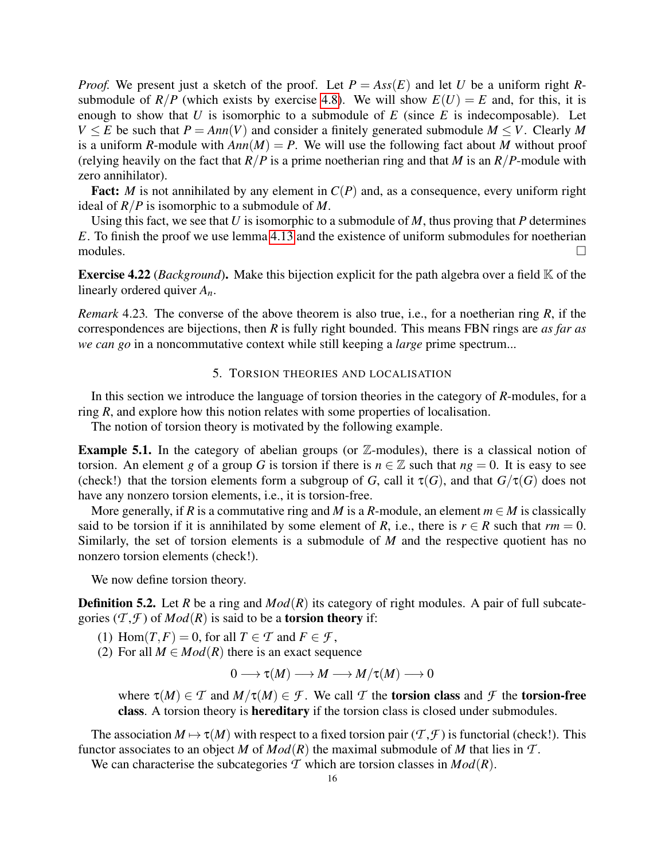*Proof.* We present just a sketch of the proof. Let  $P = Ass(E)$  and let *U* be a uniform right *R*submodule of  $R/P$  (which exists by exercise [4.8\)](#page-13-1). We will show  $E(U) = E$  and, for this, it is enough to show that  $U$  is isomorphic to a submodule of  $E$  (since  $E$  is indecomposable). Let *V*  $\leq$  *E* be such that *P* = *Ann*(*V*) and consider a finitely generated submodule *M*  $\leq$  *V*. Clearly *M* is a uniform *R*-module with  $Ann(M) = P$ . We will use the following fact about *M* without proof (relying heavily on the fact that  $R/P$  is a prime noetherian ring and that *M* is an  $R/P$ -module with zero annihilator).

**Fact:** *M* is not annihilated by any element in  $C(P)$  and, as a consequence, every uniform right ideal of *R*/*P* is isomorphic to a submodule of *M*.

Using this fact, we see that *U* is isomorphic to a submodule of *M*, thus proving that *P* determines *E*. To finish the proof we use lemma [4.13](#page-13-0) and the existence of uniform submodules for noetherian modules.  $\Box$ 

Exercise 4.22 (*Background*). Make this bijection explicit for the path algebra over a field K of the linearly ordered quiver *An*.

*Remark* 4.23*.* The converse of the above theorem is also true, i.e., for a noetherian ring *R*, if the correspondences are bijections, then *R* is fully right bounded. This means FBN rings are *as far as we can go* in a noncommutative context while still keeping a *large* prime spectrum...

#### 5. TORSION THEORIES AND LOCALISATION

<span id="page-15-0"></span>In this section we introduce the language of torsion theories in the category of *R*-modules, for a ring *R*, and explore how this notion relates with some properties of localisation.

The notion of torsion theory is motivated by the following example.

**Example 5.1.** In the category of abelian groups (or  $\mathbb{Z}$ -modules), there is a classical notion of torsion. An element *g* of a group *G* is torsion if there is  $n \in \mathbb{Z}$  such that  $ng = 0$ . It is easy to see (check!) that the torsion elements form a subgroup of *G*, call it  $\tau(G)$ , and that  $G/\tau(G)$  does not have any nonzero torsion elements, i.e., it is torsion-free.

More generally, if *R* is a commutative ring and *M* is a *R*-module, an element  $m \in M$  is classically said to be torsion if it is annihilated by some element of *R*, i.e., there is  $r \in R$  such that  $rm = 0$ . Similarly, the set of torsion elements is a submodule of *M* and the respective quotient has no nonzero torsion elements (check!).

We now define torsion theory.

**Definition 5.2.** Let *R* be a ring and  $Mod(R)$  its category of right modules. A pair of full subcategories  $(T, \mathcal{F})$  of  $Mod(R)$  is said to be a **torsion theory** if:

(1) Hom $(T, F) = 0$ , for all  $T \in \mathcal{T}$  and  $F \in \mathcal{F}$ ,

(2) For all  $M \in Mod(R)$  there is an exact sequence

$$
0\longrightarrow \tau(M)\longrightarrow M\longrightarrow M/\tau(M)\longrightarrow 0
$$

where  $\tau(M) \in \mathcal{T}$  and  $M/\tau(M) \in \mathcal{F}$ . We call  $\mathcal{T}$  the torsion class and  $\mathcal{F}$  the torsion-free class. A torsion theory is hereditary if the torsion class is closed under submodules.

The association  $M \mapsto \tau(M)$  with respect to a fixed torsion pair  $(\mathcal{T}, \mathcal{F})$  is functorial (check!). This functor associates to an object *M* of  $Mod(R)$  the maximal submodule of *M* that lies in  $T$ .

We can characterise the subcategories  $\mathcal T$  which are torsion classes in  $Mod(R)$ .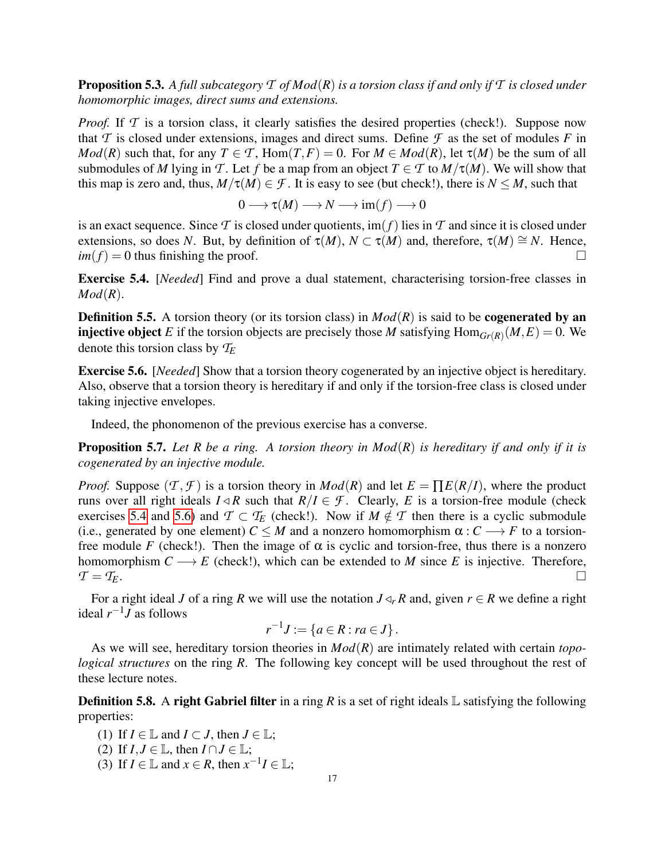Proposition 5.3. *A full subcategory T of Mod*(*R*) *is a torsion class if and only if T is closed under homomorphic images, direct sums and extensions.*

*Proof.* If T is a torsion class, it clearly satisfies the desired properties (check!). Suppose now that  $T$  is closed under extensions, images and direct sums. Define  $\mathcal F$  as the set of modules  $F$  in *Mod*(*R*) such that, for any  $T \in \mathcal{T}$ , Hom(*T*,*F*) = 0. For  $M \in Mod(R)$ , let  $\tau(M)$  be the sum of all submodules of *M* lying in *T*. Let *f* be a map from an object  $T \in T$  to  $M/\tau(M)$ . We will show that this map is zero and, thus,  $M/\tau(M) \in \mathcal{F}$ . It is easy to see (but check!), there is  $N \leq M$ , such that

$$
0 \longrightarrow \tau(M) \longrightarrow N \longrightarrow \text{im}(f) \longrightarrow 0
$$

is an exact sequence. Since  $\mathcal T$  is closed under quotients,  $\text{im}(f)$  lies in  $\mathcal T$  and since it is closed under extensions, so does *N*. But, by definition of  $\tau(M)$ ,  $N \subset \tau(M)$  and, therefore,  $\tau(M) \cong N$ . Hence,  $im(f) = 0$  thus finishing the proof.

<span id="page-16-0"></span>Exercise 5.4. [*Needed*] Find and prove a dual statement, characterising torsion-free classes in *Mod*(*R*).

**Definition 5.5.** A torsion theory (or its torsion class) in  $Mod(R)$  is said to be **cogenerated by an injective object** *E* if the torsion objects are precisely those *M* satisfying  $Hom_{Gr(R)}(M, E) = 0$ . We denote this torsion class by *T<sup>E</sup>*

<span id="page-16-1"></span>Exercise 5.6. [*Needed*] Show that a torsion theory cogenerated by an injective object is hereditary. Also, observe that a torsion theory is hereditary if and only if the torsion-free class is closed under taking injective envelopes.

Indeed, the phonomenon of the previous exercise has a converse.

Proposition 5.7. *Let R be a ring. A torsion theory in Mod*(*R*) *is hereditary if and only if it is cogenerated by an injective module.*

*Proof.* Suppose  $(T, \mathcal{F})$  is a torsion theory in *Mod*(*R*) and let  $E = \prod E(R/I)$ , where the product runs over all right ideals  $I \triangleleft R$  such that  $R/I \in \mathcal{F}$ . Clearly, *E* is a torsion-free module (check exercises [5.4](#page-16-0) and [5.6\)](#page-16-1) and  $\mathcal{T} \subset \mathcal{T}_E$  (check!). Now if  $M \notin \mathcal{T}$  then there is a cyclic submodule (i.e., generated by one element)  $C \leq M$  and a nonzero homomorphism  $\alpha : C \longrightarrow F$  to a torsionfree module *F* (check!). Then the image of  $\alpha$  is cyclic and torsion-free, thus there is a nonzero homomorphism  $C \longrightarrow E$  (check!), which can be extended to *M* since *E* is injective. Therefore,  $\mathcal{T} = \mathcal{T}_E$ .

For a right ideal *J* of a ring *R* we will use the notation  $J \triangleleft_r R$  and, given  $r \in R$  we define a right ideal  $r^{-1}J$  as follows

$$
r^{-1}J := \{ a \in R : ra \in J \}.
$$

As we will see, hereditary torsion theories in *Mod*(*R*) are intimately related with certain *topological structures* on the ring *R*. The following key concept will be used throughout the rest of these lecture notes.

**Definition 5.8.** A right Gabriel filter in a ring *R* is a set of right ideals  $\mathbb{L}$  satisfying the following properties:

(1) If  $I \in \mathbb{L}$  and  $I \subset J$ , then  $J \in \mathbb{L}$ ; (2) If  $I, J \in \mathbb{L}$ , then  $I \cap J \in \mathbb{L}$ ;

(3) If  $I \in \mathbb{L}$  and  $x \in R$ , then  $x^{-1}I \in \mathbb{L}$ ;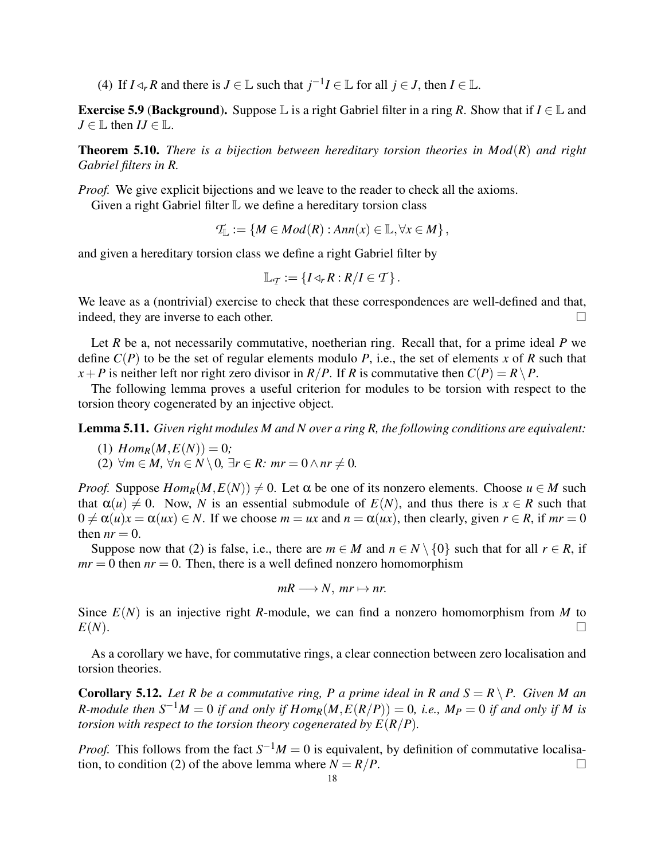(4) If  $I \triangleleft r$  *R* and there is  $J \in \mathbb{L}$  such that  $j^{-1}I \in \mathbb{L}$  for all  $j \in J$ , then  $I \in \mathbb{L}$ .

**Exercise 5.9 (Background).** Suppose  $\mathbb{L}$  is a right Gabriel filter in a ring *R*. Show that if  $I \in \mathbb{L}$  and  $J \in \mathbb{L}$  then  $IJ \in \mathbb{L}$ .

<span id="page-17-0"></span>Theorem 5.10. *There is a bijection between hereditary torsion theories in Mod*(*R*) *and right Gabriel filters in R.*

*Proof.* We give explicit bijections and we leave to the reader to check all the axioms.

Given a right Gabriel filter  $\mathbb L$  we define a hereditary torsion class

$$
\mathcal{T}_{\mathbb{L}} := \{ M \in Mod(R) : Ann(x) \in \mathbb{L}, \forall x \in M \},\
$$

and given a hereditary torsion class we define a right Gabriel filter by

$$
\mathbb{L}_\mathcal{T}:=\left\{I\triangleleft_rR:R/I\in\mathcal{T}\right\}.
$$

We leave as a (nontrivial) exercise to check that these correspondences are well-defined and that, indeed, they are inverse to each other.

Let *R* be a, not necessarily commutative, noetherian ring. Recall that, for a prime ideal *P* we define  $C(P)$  to be the set of regular elements modulo P, i.e., the set of elements x of R such that *x*+*P* is neither left nor right zero divisor in *R*/*P*. If *R* is commutative then  $C(P) = R \setminus P$ .

The following lemma proves a useful criterion for modules to be torsion with respect to the torsion theory cogenerated by an injective object.

<span id="page-17-2"></span>Lemma 5.11. *Given right modules M and N over a ring R, the following conditions are equivalent:*

- $(1)$   $Hom_R(M, E(N)) = 0;$
- $(2)$   $\forall m \in M$ ,  $\forall n \in N \setminus 0$ ,  $\exists r \in R$ :  $mr = 0 \land nr \neq 0$ .

*Proof.* Suppose  $Hom_R(M, E(N)) \neq 0$ . Let  $\alpha$  be one of its nonzero elements. Choose  $u \in M$  such that  $\alpha(u) \neq 0$ . Now, *N* is an essential submodule of  $E(N)$ , and thus there is  $x \in R$  such that  $0 \neq \alpha(u)x = \alpha(ux) \in N$ . If we choose  $m = ux$  and  $n = \alpha(ux)$ , then clearly, given  $r \in R$ , if  $mr = 0$ then  $nr = 0$ .

Suppose now that (2) is false, i.e., there are  $m \in M$  and  $n \in N \setminus \{0\}$  such that for all  $r \in R$ , if  $mr = 0$  then  $nr = 0$ . Then, there is a well defined nonzero homomorphism

$$
mR \longrightarrow N, mr \mapsto nr.
$$

Since *E*(*N*) is an injective right *R*-module, we can find a nonzero homomorphism from *M* to  $E(N)$ .

As a corollary we have, for commutative rings, a clear connection between zero localisation and torsion theories.

<span id="page-17-1"></span>**Corollary 5.12.** Let R be a commutative ring, P a prime ideal in R and  $S = R \setminus P$ . Given M an *R*-module then  $S^{-1}M = 0$  if and only if  $Hom_R(M, E(R/P)) = 0$ , i.e.,  $M_P = 0$  if and only if M is *torsion with respect to the torsion theory cogenerated by*  $E(R/P)$ *.* 

*Proof.* This follows from the fact  $S^{-1}M = 0$  is equivalent, by definition of commutative localisation, to condition (2) of the above lemma where  $N = R/P$ .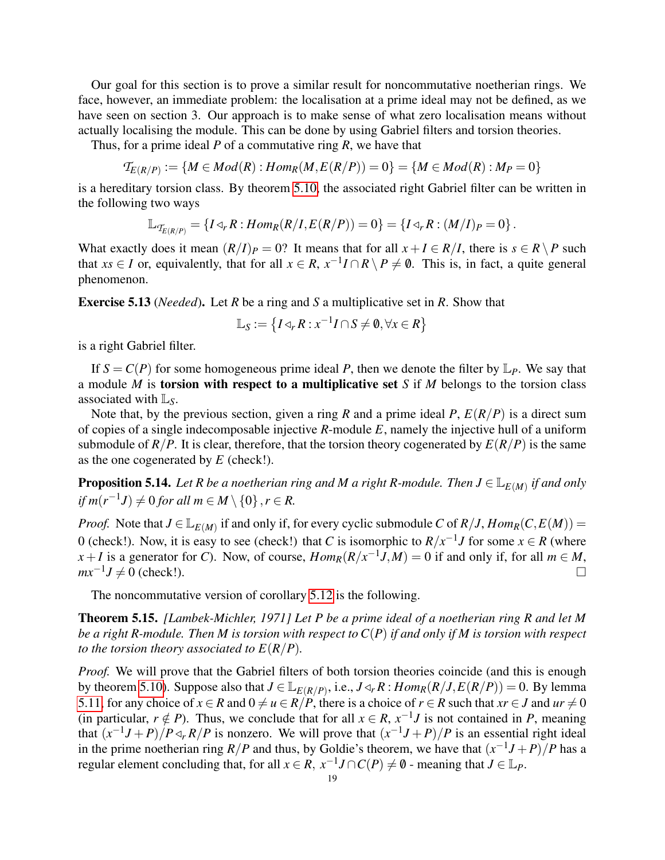Our goal for this section is to prove a similar result for noncommutative noetherian rings. We face, however, an immediate problem: the localisation at a prime ideal may not be defined, as we have seen on section 3. Our approach is to make sense of what zero localisation means without actually localising the module. This can be done by using Gabriel filters and torsion theories.

Thus, for a prime ideal *P* of a commutative ring *R*, we have that

$$
\mathcal{T}_{E(R/P)} := \{ M \in Mod(R) : Hom_R(M, E(R/P)) = 0 \} = \{ M \in Mod(R) : M_P = 0 \}
$$

is a hereditary torsion class. By theorem [5.10,](#page-17-0) the associated right Gabriel filter can be written in the following two ways

$$
\mathbb{L}_{\mathcal{T}_{E(R/P)}} = \{ I \triangleleft_r R : Hom_R(R/I, E(R/P)) = 0 \} = \{ I \triangleleft_r R : (M/I)_P = 0 \}.
$$

What exactly does it mean  $(R/I)_P = 0$ ? It means that for all  $x + I \in R/I$ , there is  $s \in R \setminus P$  such that *xs*  $\in$  *I* or, equivalently, that for all  $x \in R$ ,  $x^{-1}I \cap R \setminus P \neq \emptyset$ . This is, in fact, a quite general phenomenon.

Exercise 5.13 (*Needed*). Let *R* be a ring and *S* a multiplicative set in *R*. Show that

$$
\mathbb{L}_S := \left\{ I \triangleleft_r R : x^{-1} I \cap S \neq \emptyset, \forall x \in R \right\}
$$

is a right Gabriel filter.

If  $S = C(P)$  for some homogeneous prime ideal P, then we denote the filter by  $\mathbb{L}_P$ . We say that a module *M* is torsion with respect to a multiplicative set *S* if *M* belongs to the torsion class associated with L*S*.

Note that, by the previous section, given a ring *R* and a prime ideal *P*,  $E(R/P)$  is a direct sum of copies of a single indecomposable injective *R*-module *E*, namely the injective hull of a uniform submodule of  $R/P$ . It is clear, therefore, that the torsion theory cogenerated by  $E(R/P)$  is the same as the one cogenerated by *E* (check!).

**Proposition 5.14.** Let R be a noetherian ring and M a right R-module. Then  $J \in \mathbb{L}_{E(M)}$  if and only  $if m(r^{-1}J) \neq 0$  *for all*  $m \in M \setminus \{0\}, r \in R$ .

*Proof.* Note that  $J \in L_{E(M)}$  if and only if, for every cyclic submodule *C* of  $R/J$ ,  $Hom_R(C, E(M)) =$ 0 (check!). Now, it is easy to see (check!) that *C* is isomorphic to  $R/x^{-1}J$  for some  $x \in R$  (where  $x + I$  is a generator for *C*). Now, of course,  $Hom_R(R/x^{-1}J, M) = 0$  if and only if, for all  $m \in M$ ,  $mx^{-1}J \neq 0$  (check!).

The noncommutative version of corollary [5.12](#page-17-1) is the following.

Theorem 5.15. *[Lambek-Michler, 1971] Let P be a prime ideal of a noetherian ring R and let M be a right R-module. Then M is torsion with respect to C*(*P*) *if and only if M is torsion with respect to the torsion theory associated to*  $E(R/P)$ *.* 

*Proof.* We will prove that the Gabriel filters of both torsion theories coincide (and this is enough by theorem [5.10\)](#page-17-0). Suppose also that  $J \in \mathbb{L}_{E(R/P)}$ , i.e.,  $J \triangleleft_r R$ :  $Hom_R(R/J, E(R/P)) = 0$ . By lemma [5.11,](#page-17-2) for any choice of  $x \in R$  and  $0 \neq u \in R/P$ , there is a choice of  $r \in R$  such that  $xr \in J$  and  $ur \neq 0$ (in particular,  $r \notin P$ ). Thus, we conclude that for all  $x \in R$ ,  $x^{-1}J$  is not contained in *P*, meaning that  $(x^{-1}J + P)/P \triangleleft_r R/P$  is nonzero. We will prove that  $(x^{-1}J + P)/P$  is an essential right ideal in the prime noetherian ring *R*/*P* and thus, by Goldie's theorem, we have that  $(x^{-1}J + P)/P$  has a regular element concluding that, for all  $x \in R$ ,  $x^{-1}J \cap C(P) \neq \emptyset$  - meaning that  $J \in \mathbb{L}_P$ .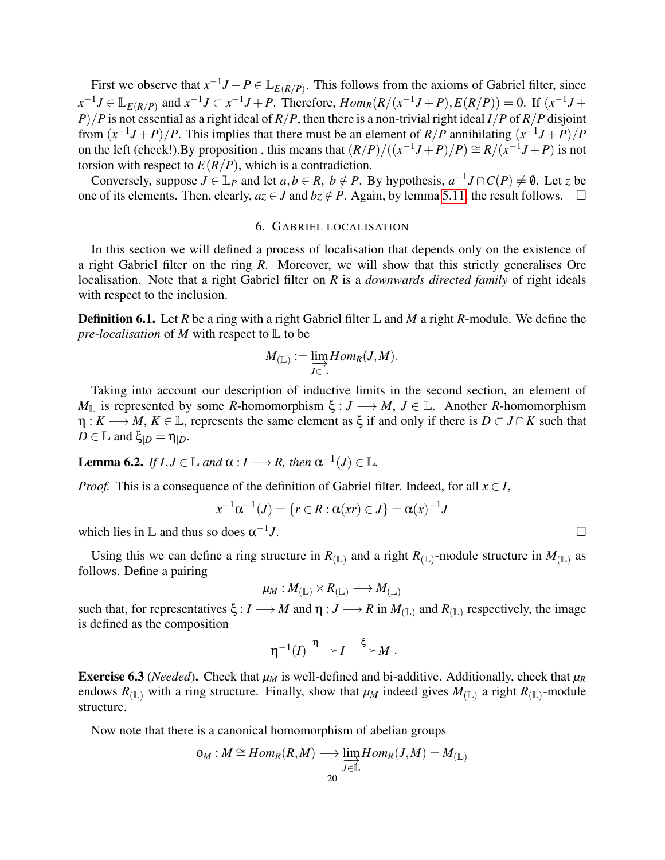First we observe that  $x^{-1}J + P \in \mathbb{L}_{E(R/P)}$ . This follows from the axioms of Gabriel filter, since  $x^{-1}J \in \mathbb{L}_{E(R/P)}$  and  $x^{-1}J \subset x^{-1}J + P$ . Therefore,  $Hom_R(R/(x^{-1}J + P), E(R/P)) = 0$ . If  $(x^{-1}J + P)$ *P*)/*P* is not essential as a right ideal of *R*/*P*, then there is a non-trivial right ideal *I*/*P* of *R*/*P* disjoint from  $(x^{-1}J + P)/P$ . This implies that there must be an element of *R*/*P* annihilating  $(x^{-1}J + P)/P$ on the left (check!).By proposition, this means that  $(R/P)/((x^{-1}J+P)/P) \cong R/(x^{-1}J+P)$  is not torsion with respect to  $E(R/P)$ , which is a contradiction.

Conversely, suppose  $J \in \mathbb{L}_P$  and let  $a, b \in R$ ,  $b \notin P$ . By hypothesis,  $a^{-1}J \cap C(P) \neq \emptyset$ . Let *z* be one of its elements. Then, clearly,  $az \in J$  and  $bz \notin P$ . Again, by lemma [5.11,](#page-17-2) the result follows.  $\square$ 

# 6. GABRIEL LOCALISATION

<span id="page-19-0"></span>In this section we will defined a process of localisation that depends only on the existence of a right Gabriel filter on the ring *R*. Moreover, we will show that this strictly generalises Ore localisation. Note that a right Gabriel filter on *R* is a *downwards directed family* of right ideals with respect to the inclusion.

Definition 6.1. Let *R* be a ring with a right Gabriel filter L and *M* a right *R*-module. We define the *pre-localisation* of *M* with respect to L to be

<span id="page-19-1"></span>
$$
M_{(\mathbb{L})} := \varinjlim_{J \in \mathbb{L}} Hom_R(J,M).
$$

Taking into account our description of inductive limits in the second section, an element of *M*<sub>L</sub> is represented by some *R*-homomorphism ξ : *J* → *M*, *J* ∈ L. Another *R*-homomorphism  $\eta: K \longrightarrow M, K \in \mathbb{L}$ , represents the same element as  $\xi$  if and only if there is  $D \subset J \cap K$  such that  $D \in \mathbb{L}$  and  $\xi_{|D} = \eta_{|D}$ .

Lemma 6.2. *If*  $I, J \in \mathbb{L}$  *and*  $\alpha: I \longrightarrow R$ *, then*  $\alpha^{-1}(J) \in \mathbb{L}$ *.* 

*Proof.* This is a consequence of the definition of Gabriel filter. Indeed, for all  $x \in I$ ,

$$
x^{-1}\alpha^{-1}(J) = \{r \in R : \alpha(xr) \in J\} = \alpha(x)^{-1}J
$$

which lies in  $\mathbb L$  and thus so does  $\alpha^{-1}$ *J*.

Using this we can define a ring structure in  $R_{(L)}$  and a right  $R_{(L)}$ -module structure in  $M_{(L)}$  as follows. Define a pairing

$$
\mu_M: M_{(\mathbb{L})} \times R_{(\mathbb{L})} \longrightarrow M_{(\mathbb{L})}
$$

such that, for representatives  $\xi : I \longrightarrow M$  and  $\eta : J \longrightarrow R$  in  $M_{(\mathbb{L})}$  and  $R_{(\mathbb{L})}$  respectively, the image is defined as the composition

$$
\eta^{-1}(I) \xrightarrow{\eta} I \xrightarrow{\xi} M.
$$

**Exercise 6.3** (*Needed*). Check that  $\mu_M$  is well-defined and bi-additive. Additionally, check that  $\mu_R$ endows  $R_{(L)}$  with a ring structure. Finally, show that  $\mu_M$  indeed gives  $M_{(L)}$  a right  $R_{(L)}$ -module structure.

Now note that there is a canonical homomorphism of abelian groups

$$
\phi_M : M \cong Hom_R(R,M) \longrightarrow \varinjlim_{J \in \mathbb{L}} Hom_R(J,M) = M_{(\mathbb{L})}
$$

$$
20\quad
$$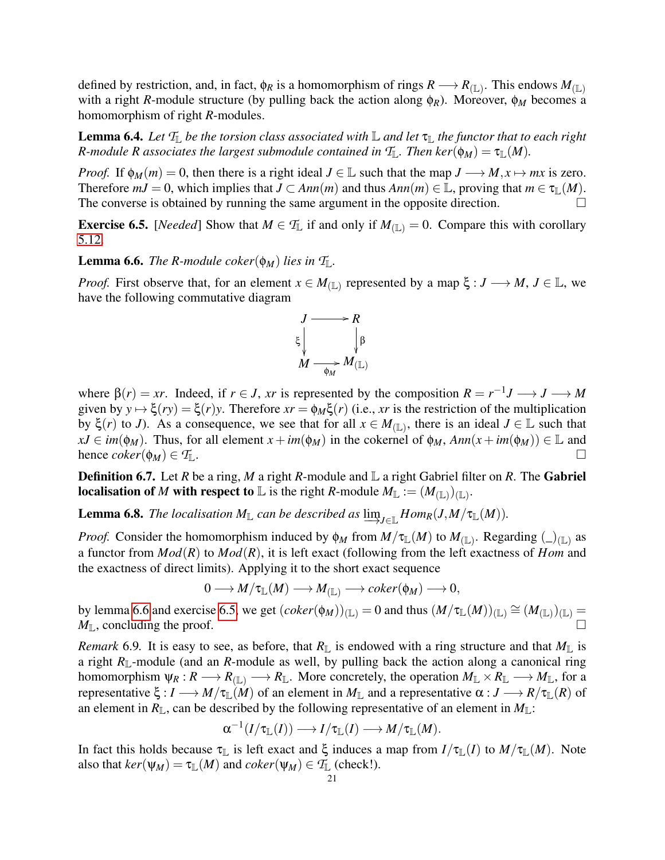defined by restriction, and, in fact,  $\phi_R$  is a homomorphism of rings  $R \to R_{(\mathbb{L})}$ . This endows  $M_{(\mathbb{L})}$ with a right *R*-module structure (by pulling back the action along φ*R*). Moreover, φ*<sup>M</sup>* becomes a homomorphism of right *R*-modules.

**Lemma 6.4.** Let  $T_{\mathbb{L}}$  be the torsion class associated with  $\mathbb{L}$  and let  $\tau_{\mathbb{L}}$  the functor that to each right *R*-module *R* associates the largest submodule contained in  $\mathcal{T}_\mathbb{L}$ . Then ker $(\phi_M) = \tau_\mathbb{L}(M)$ .

*Proof.* If  $\phi_M(m) = 0$ , then there is a right ideal  $J \in \mathbb{L}$  such that the map  $J \longrightarrow M, x \mapsto mx$  is zero. Therefore  $mJ = 0$ , which implies that  $J \subset Ann(m)$  and thus  $Ann(m) \in \mathbb{L}$ , proving that  $m \in \tau_{\mathbb{L}}(M)$ . The converse is obtained by running the same argument in the opposite direction.

<span id="page-20-1"></span>**Exercise 6.5.** [*Needed*] Show that  $M \in \mathcal{T}_{\mathbb{L}}$  if and only if  $M_{(\mathbb{L})} = 0$ . Compare this with corollary [5.12.](#page-17-1)

<span id="page-20-0"></span>**Lemma 6.6.** *The R-module coker*( $\phi_M$ ) *lies in*  $T_L$ .

*Proof.* First observe that, for an element  $x \in M_{(\mathbb{L})}$  represented by a map  $\xi : J \longrightarrow M, J \in \mathbb{L}$ , we have the following commutative diagram



where  $\beta(r) = xr$ . Indeed, if  $r \in J$ , *xr* is represented by the composition  $R = r^{-1}J \longrightarrow J \longrightarrow M$ given by  $y \mapsto \xi(ry) = \xi(r)y$ . Therefore  $xr = \phi_M \xi(r)$  (i.e., xr is the restriction of the multiplication by ξ(*r*) to *J*). As a consequence, we see that for all *x* ∈ *M*(L) , there is an ideal *J* ∈ L such that  $xJ \in im(\phi_M)$ . Thus, for all element  $x + im(\phi_M)$  in the cokernel of  $\phi_M$ ,  $Ann(x + im(\phi_M)) \in \mathbb{L}$  and hence  $coker(\phi_M) \in \mathcal{T}_\mathbb{L}$ .

**Definition 6.7.** Let *R* be a ring, *M* a right *R*-module and  $\mathbb{L}$  a right Gabriel filter on *R*. The Gabriel **localisation of** *M* **with respect to** L is the right *R*-module  $M_{\mathbb{L}} := (M_{(\mathbb{L})})_{(\mathbb{L})}$ .

**Lemma 6.8.** *The localisation*  $M_{\mathbb{L}}$  *can be described as*  $\varinjlim_{J \in \mathbb{L}} Hom_R(J, M/\tau_{\mathbb{L}}(M))$ *.* 

*Proof.* Consider the homomorphism induced by  $\phi_M$  from  $M/\tau_{\mathbb{L}}(M)$  to  $M_{(\mathbb{L})}$ . Regarding  $(\_)_{(\mathbb{L})}$  as a functor from *Mod*(*R*) to *Mod*(*R*), it is left exact (following from the left exactness of *Hom* and the exactness of direct limits). Applying it to the short exact sequence

 $0 \longrightarrow M/\tau_{\mathbb{L}}(M) \longrightarrow M_{(\mathbb{L})} \longrightarrow coker(\phi_M) \longrightarrow 0,$ 

by lemma [6.6](#page-20-0) and exercise [6.5,](#page-20-1) we get  $(coker(\phi_M))_{(\mathbb{L})} = 0$  and thus  $(M/\tau_{\mathbb{L}}(M))_{(\mathbb{L})} \cong (M_{(\mathbb{L})})_{(\mathbb{L})} =$  $M_{\mathbb{L}}$ , concluding the proof.

*Remark* 6.9. It is easy to see, as before, that  $R_{\mathbb{L}}$  is endowed with a ring structure and that  $M_{\mathbb{L}}$  is a right  $R_{\mathbb{L}}$ -module (and an *R*-module as well, by pulling back the action along a canonical ring homomorphism  $\psi_R : R \longrightarrow R_{(\mathbb{L})} \longrightarrow R_{\mathbb{L}}$ . More concretely, the operation  $M_{\mathbb{L}} \times R_{\mathbb{L}} \longrightarrow M_{\mathbb{L}}$ , for a representative  $\xi : I \longrightarrow M/\tau_{\mathbb{L}}(M)$  of an element in  $M_{\mathbb{L}}$  and a representative  $\alpha : J \longrightarrow R/\tau_{\mathbb{L}}(R)$  of an element in  $R_{\mathbb{L}}$ , can be described by the following representative of an element in  $M_{\mathbb{L}}$ :

$$
\alpha^{-1}(I/\tau_{\mathbb{L}}(I))\longrightarrow I/\tau_{\mathbb{L}}(I)\longrightarrow M/\tau_{\mathbb{L}}(M).
$$

In fact this holds because  $\tau_{\mathbb{L}}$  is left exact and  $\xi$  induces a map from  $I/\tau_{\mathbb{L}}(I)$  to  $M/\tau_{\mathbb{L}}(M)$ . Note also that  $ker(\psi_M) = \tau_{\mathbb{L}}(M)$  and  $coker(\psi_M) \in \mathcal{T}_{\mathbb{L}}$  (check!).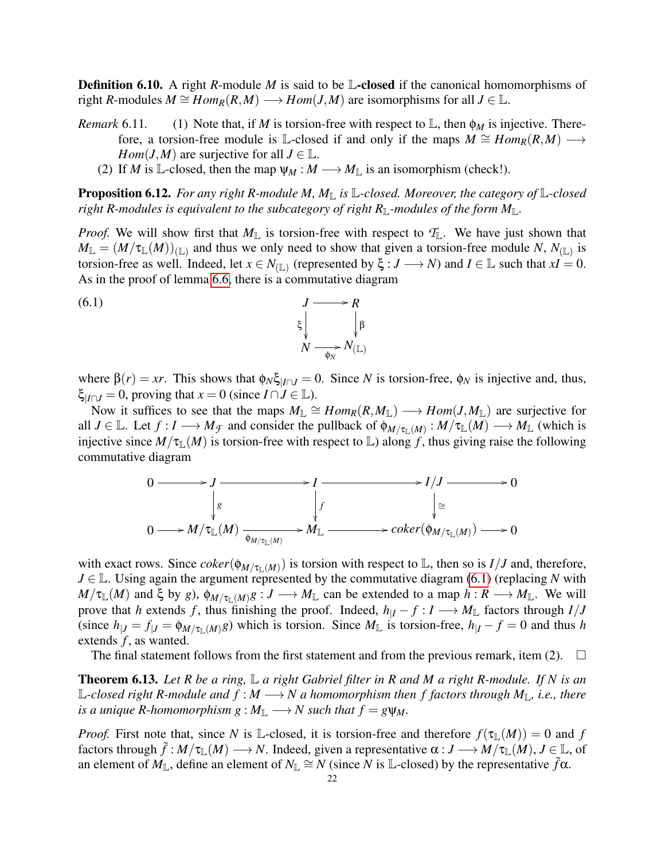**Definition 6.10.** A right *R*-module *M* is said to be **L**-closed if the canonical homomorphisms of right *R*-modules  $M \cong Hom_R(R,M) \longrightarrow Hom(J,M)$  are isomorphisms for all  $J \in \mathbb{L}$ .

- *Remark* 6.11. (1) Note that, if *M* is torsion-free with respect to  $\mathbb{L}$ , then  $\phi_M$  is injective. Therefore, a torsion-free module is L-closed if and only if the maps  $M \cong Hom_R(R,M) \longrightarrow$ *Hom*(*J*,*M*) are surjective for all *J*  $\in$  L.
	- (2) If *M* is L-closed, then the map  $\psi_M : M \longrightarrow M_{\mathbb{L}}$  is an isomorphism (check!).

**Proposition 6.12.** *For any right R-module M, M*<sub>L</sub> *is* L-closed. Moreover, the category of L-closed *right R-modules is equivalent to the subcategory of right R*<sub>L</sub>-modules of the form  $M_{\mathbb{L}}$ .

*Proof.* We will show first that  $M_{\mathbb{L}}$  is torsion-free with respect to  $\mathcal{T}_{\mathbb{L}}$ . We have just shown that  $M_{\mathbb{L}} = (M/\tau_{\mathbb{L}}(M))_{(\mathbb{L})}$  and thus we only need to show that given a torsion-free module *N*,  $N_{(\mathbb{L})}$  is torsion-free as well. Indeed, let  $x \in N_{(L)}$  (represented by  $\xi : J \longrightarrow N$ ) and  $I \in \mathbb{L}$  such that  $xI = 0$ . As in the proof of lemma [6.6,](#page-20-0) there is a commutative diagram

(6.1) 
$$
\begin{array}{ccc}\nJ & \longrightarrow R \\
\xi & \downarrow \beta \\
N & \longrightarrow N(\mathbb{L})\n\end{array}
$$

where  $\beta(r) = xr$ . This shows that  $\phi_N \xi_{|I \cap J} = 0$ . Since *N* is torsion-free,  $\phi_N$  is injective and, thus,  $\xi$ <sub>*I∩J* = 0, proving that *x* = 0 (since *I* ∩ *J* ∈ ⊥, L</sub>

Now it suffices to see that the maps  $M_{\mathbb{L}} \cong Hom_R(R, M_{\mathbb{L}}) \longrightarrow Hom(J, M_{\mathbb{L}})$  are surjective for all  $J \in \mathbb{L}$ . Let  $f : I \longrightarrow M_{\mathcal{F}}$  and consider the pullback of  $\phi_{M/\tau_{\mathbb{L}}(M)} : M/\tau_{\mathbb{L}}(M) \longrightarrow M_{\mathbb{L}}$  (which is injective since  $M/\tau_{\mathbb{L}}(M)$  is torsion-free with respect to  $\mathbb{L}$ ) along f, thus giving raise the following commutative diagram



with exact rows. Since  $coker(\phi_{M/\tau_{\mathbb{L}}(M)})$  is torsion with respect to  $\mathbb{L}$ , then so is  $I/J$  and, therefore, *J* ∈ L. Using again the argument represented by the commutative diagram [\(6.1\)](#page-19-1) (replacing *N* with  $M/\tau_{\mathbb{L}}(M)$  and  $\xi$  by *g*),  $\phi_{M/\tau_{\mathbb{L}}(M)}g: J \longrightarrow M_{\mathbb{L}}$  can be extended to a map  $h: R \longrightarrow M_{\mathbb{L}}$ . We will prove that *h* extends *f*, thus finishing the proof. Indeed,  $h_{|I} - f : I \longrightarrow M_{\mathbb{L}}$  factors through  $I/J$ (since  $h_{|J} = f_{|J} = \phi_{M/\tau_{\parallel}(M)}g$ ) which is torsion. Since  $M_{\parallel}$  is torsion-free,  $h_{|I} - f = 0$  and thus *h* extends *f*, as wanted.

The final statement follows from the first statement and from the previous remark, item (2).  $\Box$ 

Theorem 6.13. *Let R be a ring,* L *a right Gabriel filter in R and M a right R-module. If N is an*  $\mathbb{L}\text{-closed right }R\text{-module and }f : M \longrightarrow N$  a homomorphism then f factors through  $M_{\mathbb{L}}$ , i.e., there *is a unique R-homomorphism g* :  $M_{\mathbb{L}} \longrightarrow N$  *such that*  $f = g \psi_M$ .

*Proof.* First note that, since *N* is L-closed, it is torsion-free and therefore  $f(\tau_{\mathbb{L}}(M)) = 0$  and *f* factors through  $\tilde{f}: M/\tau_{\mathbb{L}}(M) \longrightarrow N$ . Indeed, given a representative  $\alpha: J \longrightarrow M/\tau_{\mathbb{L}}(M), J \in \mathbb{L}$ , of an element of  $M_{\mathbb{L}}$ , define an element of  $N_{\mathbb{L}} \cong N$  (since *N* is L-closed) by the representative  $\tilde{f}\alpha$ .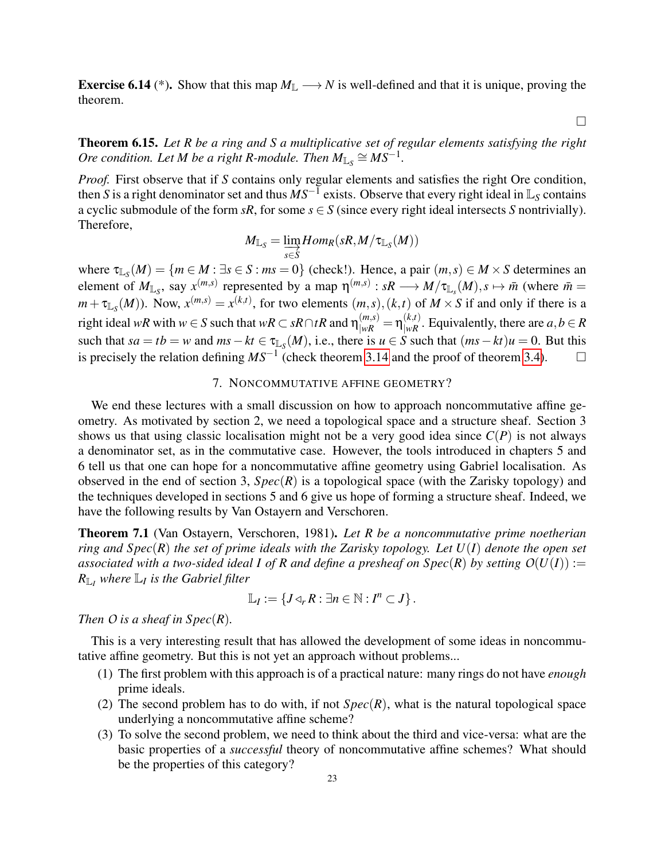**Exercise 6.14** (\*). Show that this map  $M_{\mathbb{L}} \longrightarrow N$  is well-defined and that it is unique, proving the theorem.

 $\Box$ 

Theorem 6.15. *Let R be a ring and S a multiplicative set of regular elements satisfying the right Ore condition. Let M be a right R-module. Then*  $M_{\mathbb{L}_S} \cong MS^{-1}$ *.* 

*Proof.* First observe that if *S* contains only regular elements and satisfies the right Ore condition, then *S* is a right denominator set and thus  $\overline{MS^{-1}}$  exists. Observe that every right ideal in  $\mathbb{L}_S$  contains a cyclic submodule of the form *sR*, for some  $s \in S$  (since every right ideal intersects *S* nontrivially). Therefore,

$$
M_{\mathbb{L}_S} = \varinjlim_{s \in S} Hom_R(sR,M/\tau_{\mathbb{L}_S}(M))
$$

where  $\tau_{\mathbb{L}_S}(M) = \{m \in M : \exists s \in S : ms = 0\}$  (check!). Hence, a pair  $(m, s) \in M \times S$  determines an element of  $M_{\mathbb{L}_S}$ , say  $x^{(m,s)}$  represented by a map  $\eta^{(m,s)} : sR \longrightarrow M/\tau_{\mathbb{L}_S}(M), s \mapsto \bar{m}$  (where  $\bar{m} =$  $m + \tau_{\mathbb{L}_S}(M)$ ). Now,  $x^{(m,s)} = x^{(k,t)}$ , for two elements  $(m, s)$ ,  $(k, t)$  of  $M \times S$  if and only if there is a right ideal *wR* with  $w \in S$  such that  $wR \subset sR \cap tR$  and  $\eta_{|wR}^{(m,s)} = \eta_{|wR}^{(k,t)}$ . Equivalently, there are  $a, b \in R$ such that  $sa = tb = w$  and  $ms - kt \in \tau_{\mathbb{L}_S}(M)$ , i.e., there is  $u \in S$  such that  $(ms - kt)u = 0$ . But this is precisely the relation defining  $MS^{-1}$  (check theorem [3.14](#page-10-0) and the proof of theorem [3.4\)](#page-8-0).  $□$ 

# 7. NONCOMMUTATIVE AFFINE GEOMETRY?

<span id="page-22-0"></span>We end these lectures with a small discussion on how to approach noncommutative affine geometry. As motivated by section 2, we need a topological space and a structure sheaf. Section 3 shows us that using classic localisation might not be a very good idea since  $C(P)$  is not always a denominator set, as in the commutative case. However, the tools introduced in chapters 5 and 6 tell us that one can hope for a noncommutative affine geometry using Gabriel localisation. As observed in the end of section 3,  $Spec(R)$  is a topological space (with the Zarisky topology) and the techniques developed in sections 5 and 6 give us hope of forming a structure sheaf. Indeed, we have the following results by Van Ostayern and Verschoren.

Theorem 7.1 (Van Ostayern, Verschoren, 1981). *Let R be a noncommutative prime noetherian ring and Spec*(*R*) *the set of prime ideals with the Zarisky topology. Let U*(*I*) *denote the open set associated with a two-sided ideal I of R and define a presheaf on*  $Spec(R)$  *by setting*  $O(U(I)) :=$ *R*L*<sup>I</sup> where* L*<sup>I</sup> is the Gabriel filter*

$$
\mathbb{L}_I:=\left\{J\triangleleft_r R:\exists n\in\mathbb{N}:I^n\subset J\right\}.
$$

*Then*  $O$  *is a sheaf in Spec*( $R$ ).

This is a very interesting result that has allowed the development of some ideas in noncommutative affine geometry. But this is not yet an approach without problems...

- (1) The first problem with this approach is of a practical nature: many rings do not have *enough* prime ideals.
- (2) The second problem has to do with, if not  $Spec(R)$ , what is the natural topological space underlying a noncommutative affine scheme?
- (3) To solve the second problem, we need to think about the third and vice-versa: what are the basic properties of a *successful* theory of noncommutative affine schemes? What should be the properties of this category?